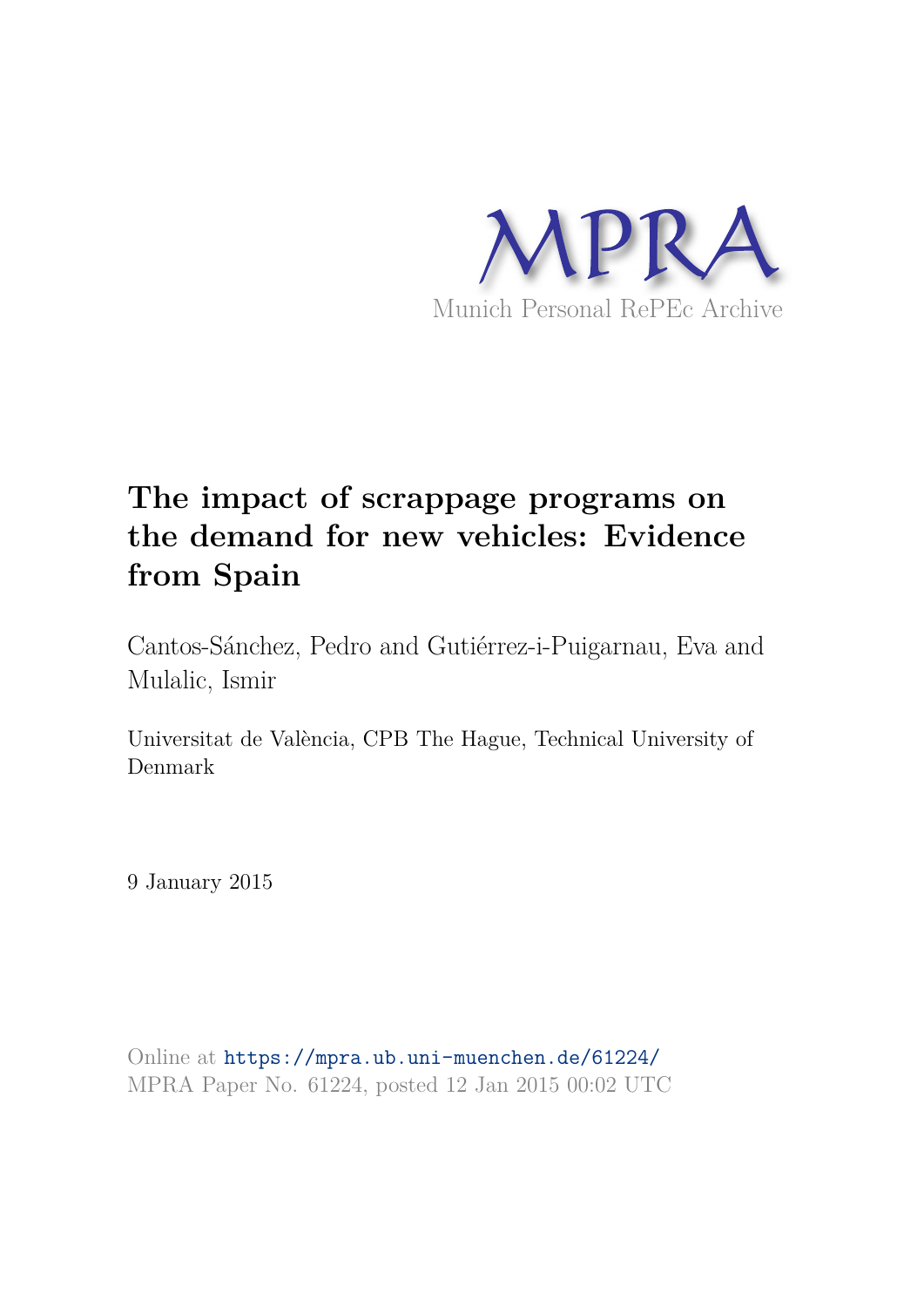

# **The impact of scrappage programs on the demand for new vehicles: Evidence from Spain**

Cantos-Sánchez, Pedro and Gutiérrez-i-Puigarnau, Eva and Mulalic, Ismir

Universitat de València, CPB The Hague, Technical University of Denmark

9 January 2015

Online at https://mpra.ub.uni-muenchen.de/61224/ MPRA Paper No. 61224, posted 12 Jan 2015 00:02 UTC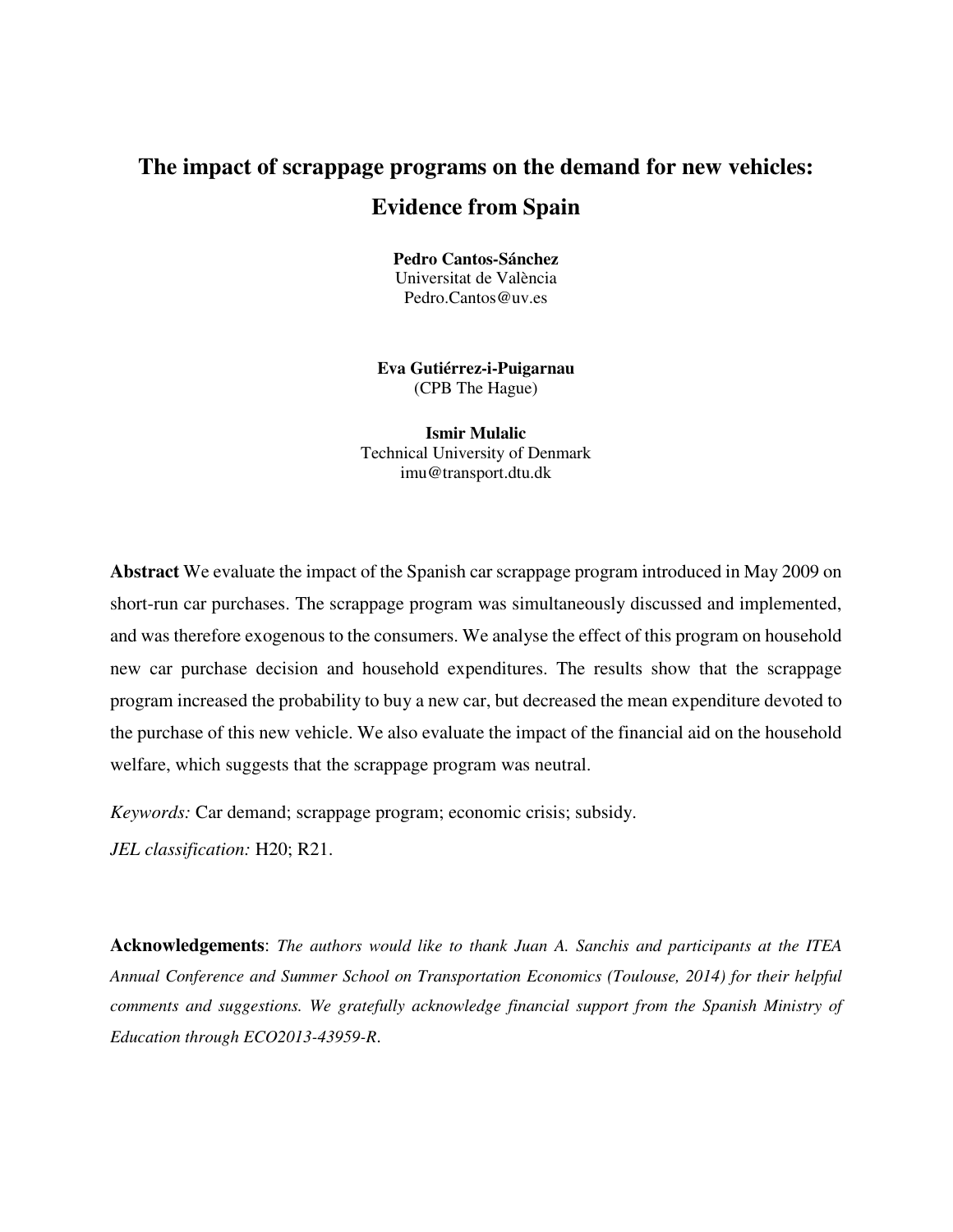## **The impact of scrappage programs on the demand for new vehicles: Evidence from Spain**

**Pedro Cantos-Sánchez** Universitat de València Pedro.Cantos@uv.es

**Eva Gutiérrez-i-Puigarnau** (CPB The Hague)

**Ismir Mulalic**  Technical University of Denmark imu@transport.dtu.dk

**Abstract** We evaluate the impact of the Spanish car scrappage program introduced in May 2009 on short-run car purchases. The scrappage program was simultaneously discussed and implemented, and was therefore exogenous to the consumers. We analyse the effect of this program on household new car purchase decision and household expenditures. The results show that the scrappage program increased the probability to buy a new car, but decreased the mean expenditure devoted to the purchase of this new vehicle. We also evaluate the impact of the financial aid on the household welfare, which suggests that the scrappage program was neutral.

*Keywords:* Car demand; scrappage program; economic crisis; subsidy. *JEL classification:* H20; R21.

**Acknowledgements**: *The authors would like to thank Juan A. Sanchis and participants at the ITEA Annual Conference and Summer School on Transportation Economics (Toulouse, 2014) for their helpful comments and suggestions. We gratefully acknowledge financial support from the Spanish Ministry of Education through ECO2013-43959-R*.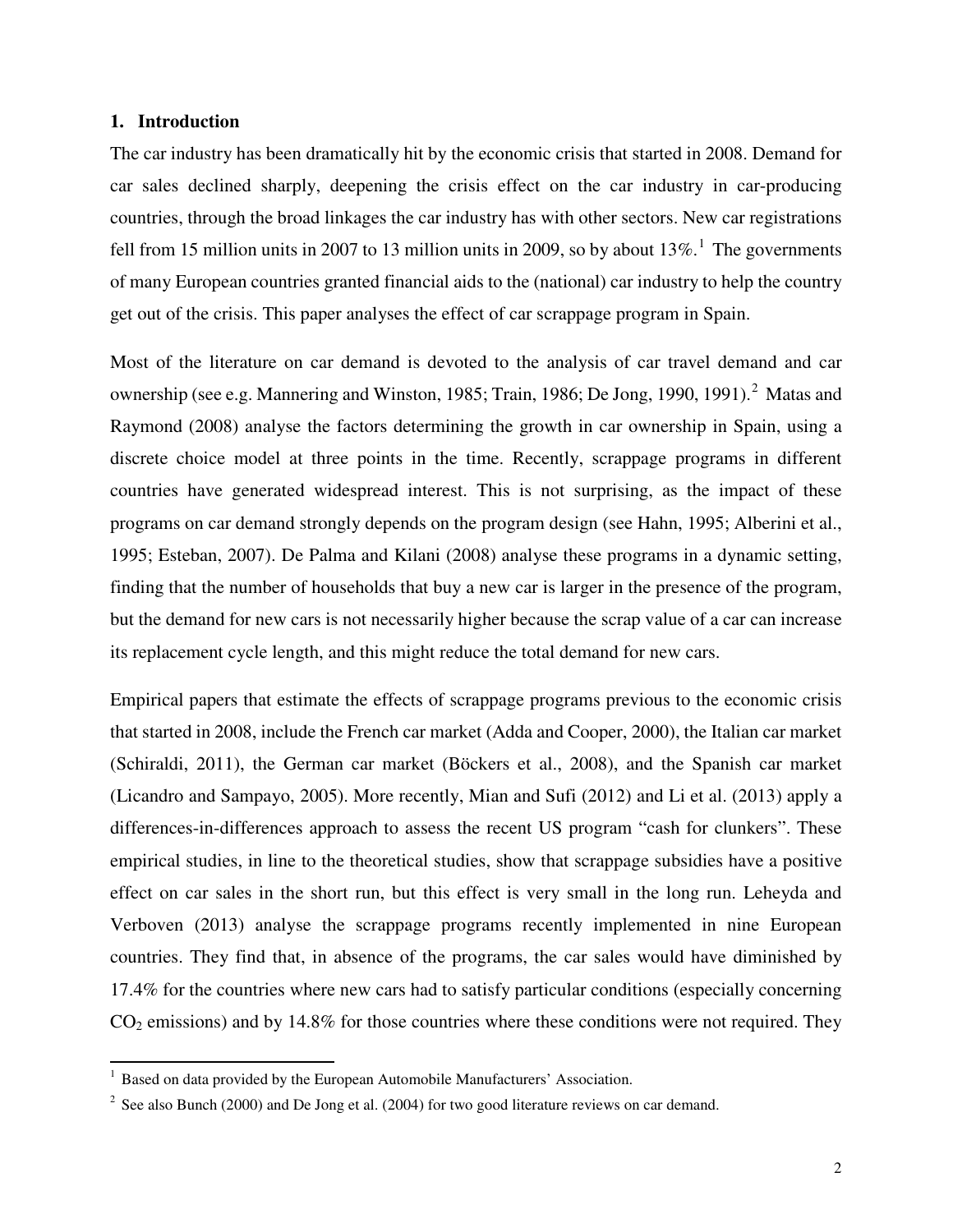#### **1. Introduction**

 $\overline{a}$ 

The car industry has been dramatically hit by the economic crisis that started in 2008. Demand for car sales declined sharply, deepening the crisis effect on the car industry in car-producing countries, through the broad linkages the car industry has with other sectors. New car registrations fell from [1](#page-2-0)5 million units in 2007 to 13 million units in 2009, so by about  $13\%$ .<sup>1</sup> The governments of many European countries granted financial aids to the (national) car industry to help the country get out of the crisis. This paper analyses the effect of car scrappage program in Spain.

Most of the literature on car demand is devoted to the analysis of car travel demand and car ownership (see e.g. Mannering and Winston, 1985; Train, 1986; De Jong, 1990, 1991).<sup>[2](#page-2-1)</sup> Matas and Raymond (2008) analyse the factors determining the growth in car ownership in Spain, using a discrete choice model at three points in the time. Recently, scrappage programs in different countries have generated widespread interest. This is not surprising, as the impact of these programs on car demand strongly depends on the program design (see Hahn, 1995; Alberini et al., 1995; Esteban, 2007). De Palma and Kilani (2008) analyse these programs in a dynamic setting, finding that the number of households that buy a new car is larger in the presence of the program, but the demand for new cars is not necessarily higher because the scrap value of a car can increase its replacement cycle length, and this might reduce the total demand for new cars.

Empirical papers that estimate the effects of scrappage programs previous to the economic crisis that started in 2008, include the French car market (Adda and Cooper, 2000), the Italian car market (Schiraldi, 2011), the German car market (Böckers et al., 2008), and the Spanish car market (Licandro and Sampayo, 2005). More recently, Mian and Sufi (2012) and Li et al. (2013) apply a differences-in-differences approach to assess the recent US program "cash for clunkers". These empirical studies, in line to the theoretical studies, show that scrappage subsidies have a positive effect on car sales in the short run, but this effect is very small in the long run. Leheyda and Verboven (2013) analyse the scrappage programs recently implemented in nine European countries. They find that, in absence of the programs, the car sales would have diminished by 17.4% for the countries where new cars had to satisfy particular conditions (especially concerning  $CO<sub>2</sub>$  emissions) and by 14.8% for those countries where these conditions were not required. They

<span id="page-2-0"></span><sup>&</sup>lt;sup>1</sup> Based on data provided by the European Automobile Manufacturers' Association.

<span id="page-2-1"></span> $2^{2}$  See also Bunch (2000) and De Jong et al. (2004) for two good literature reviews on car demand.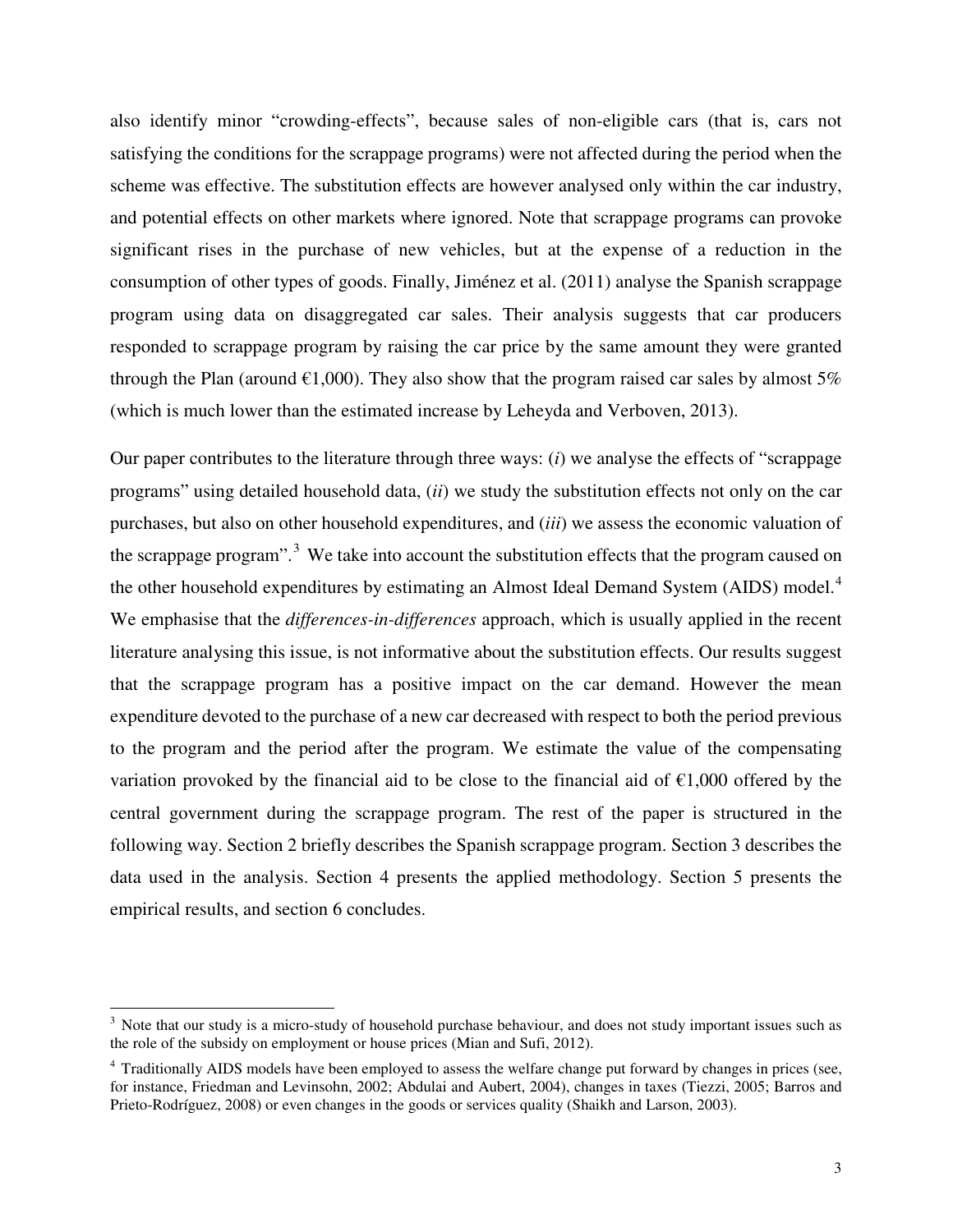also identify minor "crowding-effects", because sales of non-eligible cars (that is, cars not satisfying the conditions for the scrappage programs) were not affected during the period when the scheme was effective. The substitution effects are however analysed only within the car industry, and potential effects on other markets where ignored. Note that scrappage programs can provoke significant rises in the purchase of new vehicles, but at the expense of a reduction in the consumption of other types of goods. Finally, Jiménez et al. (2011) analyse the Spanish scrappage program using data on disaggregated car sales. Their analysis suggests that car producers responded to scrappage program by raising the car price by the same amount they were granted through the Plan (around  $\epsilon$ 1,000). They also show that the program raised car sales by almost 5% (which is much lower than the estimated increase by Leheyda and Verboven, 2013).

Our paper contributes to the literature through three ways: (*i*) we analyse the effects of "scrappage programs" using detailed household data, (*ii*) we study the substitution effects not only on the car purchases, but also on other household expenditures, and (*iii*) we assess the economic valuation of the scrappage program".<sup>[3](#page-3-0)</sup> We take into account the substitution effects that the program caused on the other household expenditures by estimating an Almost Ideal Demand System (AIDS) model.<sup>[4](#page-3-1)</sup> We emphasise that the *differences-in-differences* approach, which is usually applied in the recent literature analysing this issue, is not informative about the substitution effects. Our results suggest that the scrappage program has a positive impact on the car demand. However the mean expenditure devoted to the purchase of a new car decreased with respect to both the period previous to the program and the period after the program. We estimate the value of the compensating variation provoked by the financial aid to be close to the financial aid of  $\epsilon$ 1,000 offered by the central government during the scrappage program. The rest of the paper is structured in the following way. Section 2 briefly describes the Spanish scrappage program. Section 3 describes the data used in the analysis. Section 4 presents the applied methodology. Section 5 presents the empirical results, and section 6 concludes.

 $\overline{a}$ 

<span id="page-3-0"></span><sup>&</sup>lt;sup>3</sup> Note that our study is a micro-study of household purchase behaviour, and does not study important issues such as the role of the subsidy on employment or house prices (Mian and Sufi, 2012).

<span id="page-3-1"></span><sup>&</sup>lt;sup>4</sup> Traditionally AIDS models have been employed to assess the welfare change put forward by changes in prices (see, for instance, Friedman and Levinsohn, 2002; Abdulai and Aubert, 2004), changes in taxes (Tiezzi, 2005; Barros and Prieto-Rodríguez, 2008) or even changes in the goods or services quality (Shaikh and Larson, 2003).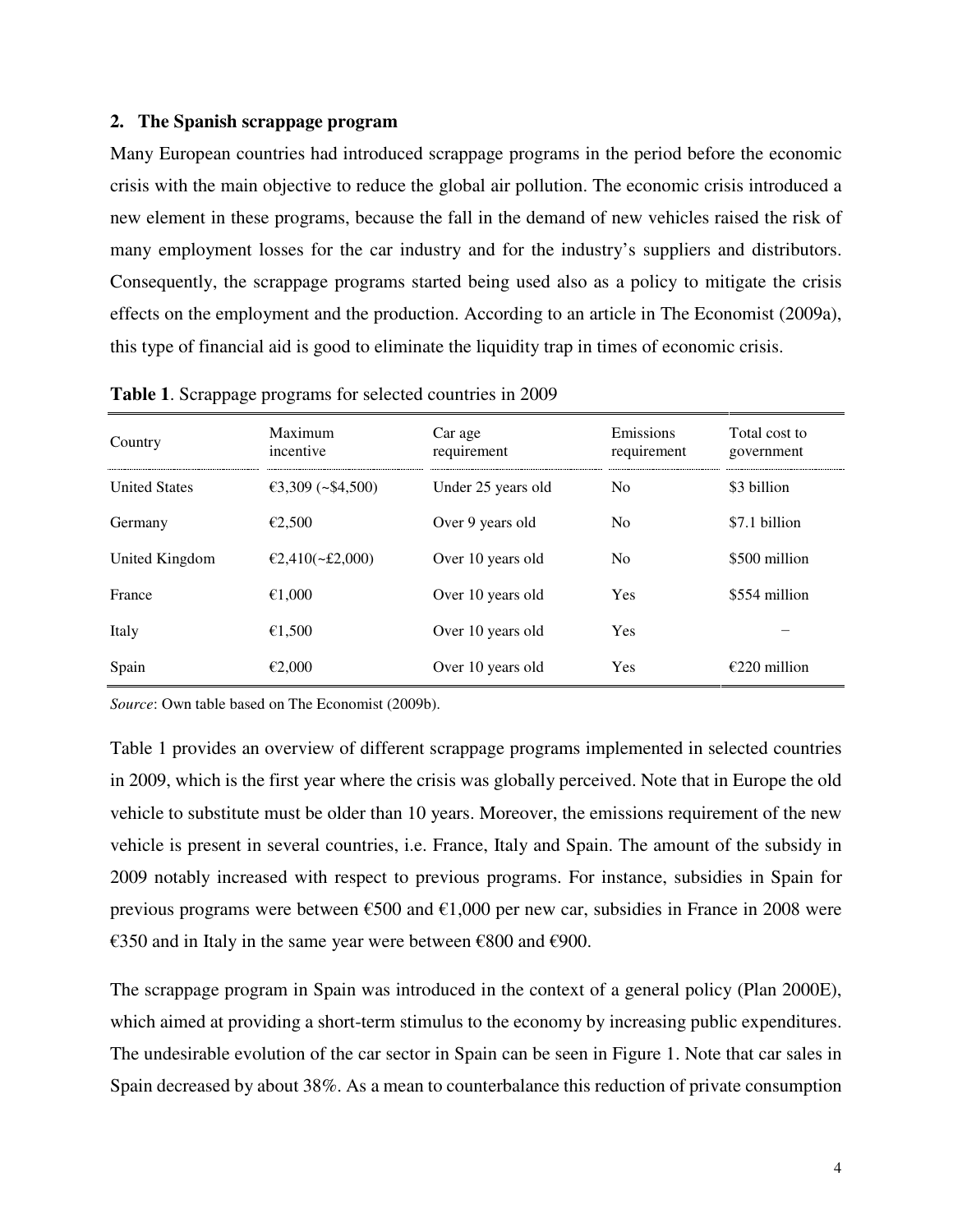#### **2. The Spanish scrappage program**

Many European countries had introduced scrappage programs in the period before the economic crisis with the main objective to reduce the global air pollution. The economic crisis introduced a new element in these programs, because the fall in the demand of new vehicles raised the risk of many employment losses for the car industry and for the industry's suppliers and distributors. Consequently, the scrappage programs started being used also as a policy to mitigate the crisis effects on the employment and the production. According to an article in The Economist (2009a), this type of financial aid is good to eliminate the liquidity trap in times of economic crisis.

| Country              | Maximum<br>incentive   | Car age<br>requirement | Emissions<br>requirement | Total cost to<br>government |
|----------------------|------------------------|------------------------|--------------------------|-----------------------------|
| <b>United States</b> | €3,309 (~\$4,500)      | Under 25 years old     | N <sub>0</sub>           | \$3 billion                 |
| Germany              | €2.500                 | Over 9 years old       | N <sub>0</sub>           | \$7.1 billion               |
| United Kingdom       | €2,410( $\sim$ £2,000) | Over 10 years old      | N <sub>0</sub>           | \$500 million               |
| France               | €1,000                 | Over 10 years old      | Yes                      | \$554 million               |
| Italy                | €1,500                 | Over 10 years old      | Yes                      |                             |
| Spain                | €2,000                 | Over 10 years old      | Yes                      | $£220$ million              |

**Table 1**. Scrappage programs for selected countries in 2009

*Source*: Own table based on The Economist (2009b).

Table 1 provides an overview of different scrappage programs implemented in selected countries in 2009, which is the first year where the crisis was globally perceived. Note that in Europe the old vehicle to substitute must be older than 10 years. Moreover, the emissions requirement of the new vehicle is present in several countries, i.e. France, Italy and Spain. The amount of the subsidy in 2009 notably increased with respect to previous programs. For instance, subsidies in Spain for previous programs were between  $\epsilon$ 500 and  $\epsilon$ 1,000 per new car, subsidies in France in 2008 were €350 and in Italy in the same year were between €800 and €900.

The scrappage program in Spain was introduced in the context of a general policy (Plan 2000E), which aimed at providing a short-term stimulus to the economy by increasing public expenditures. The undesirable evolution of the car sector in Spain can be seen in Figure 1. Note that car sales in Spain decreased by about 38%. As a mean to counterbalance this reduction of private consumption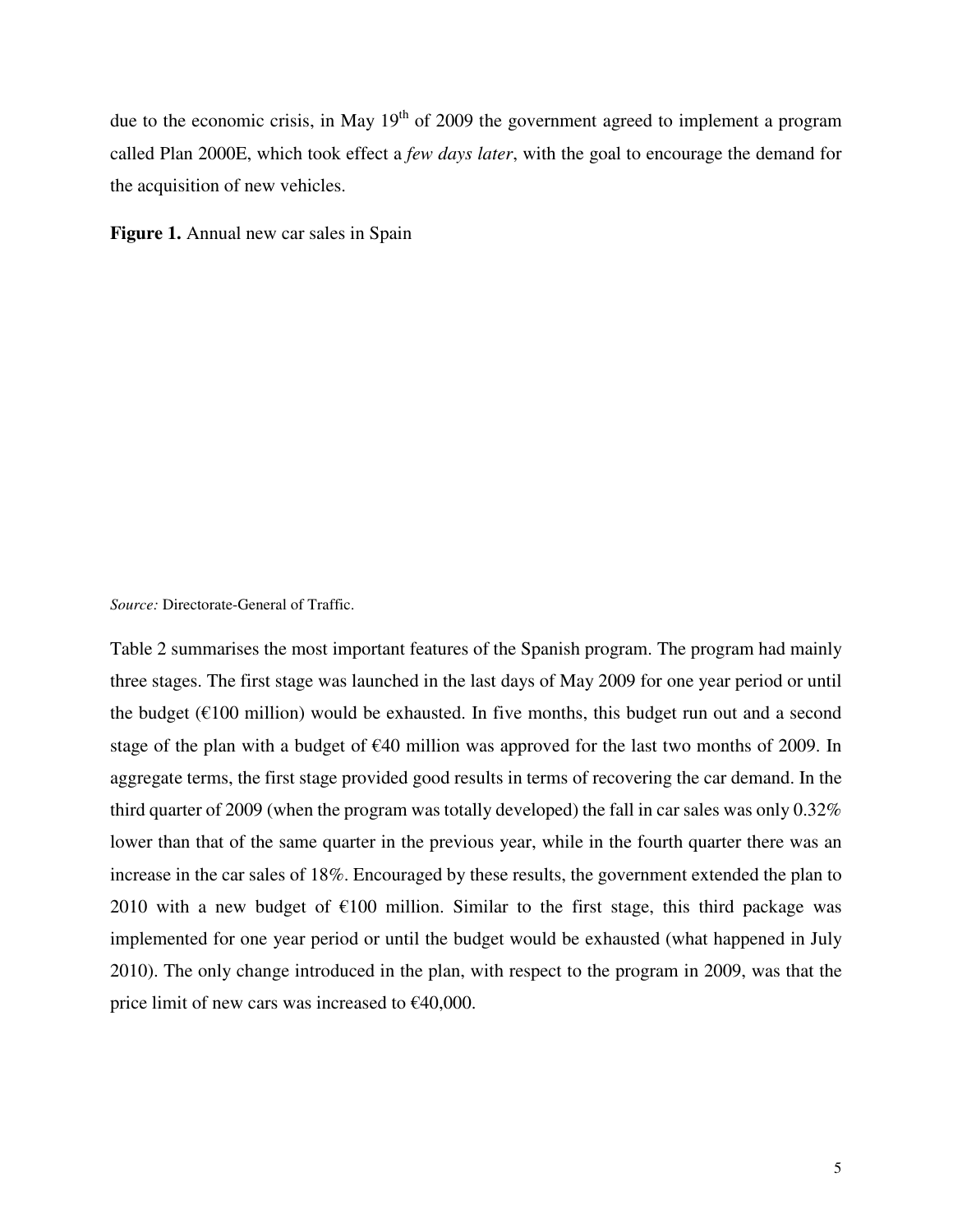due to the economic crisis, in May  $19<sup>th</sup>$  of 2009 the government agreed to implement a program called Plan 2000E, which took effect a *few days later*, with the goal to encourage the demand for the acquisition of new vehicles.

**Figure 1.** Annual new car sales in Spain

*Source:* Directorate-General of Traffic.

Table 2 summarises the most important features of the Spanish program. The program had mainly three stages. The first stage was launched in the last days of May 2009 for one year period or until the budget ( $E100$  million) would be exhausted. In five months, this budget run out and a second stage of the plan with a budget of €40 million was approved for the last two months of 2009. In aggregate terms, the first stage provided good results in terms of recovering the car demand. In the third quarter of 2009 (when the program was totally developed) the fall in car sales was only 0.32% lower than that of the same quarter in the previous year, while in the fourth quarter there was an increase in the car sales of 18%. Encouraged by these results, the government extended the plan to 2010 with a new budget of  $\epsilon$ 100 million. Similar to the first stage, this third package was implemented for one year period or until the budget would be exhausted (what happened in July 2010). The only change introduced in the plan, with respect to the program in 2009, was that the price limit of new cars was increased to  $\epsilon$ 40,000.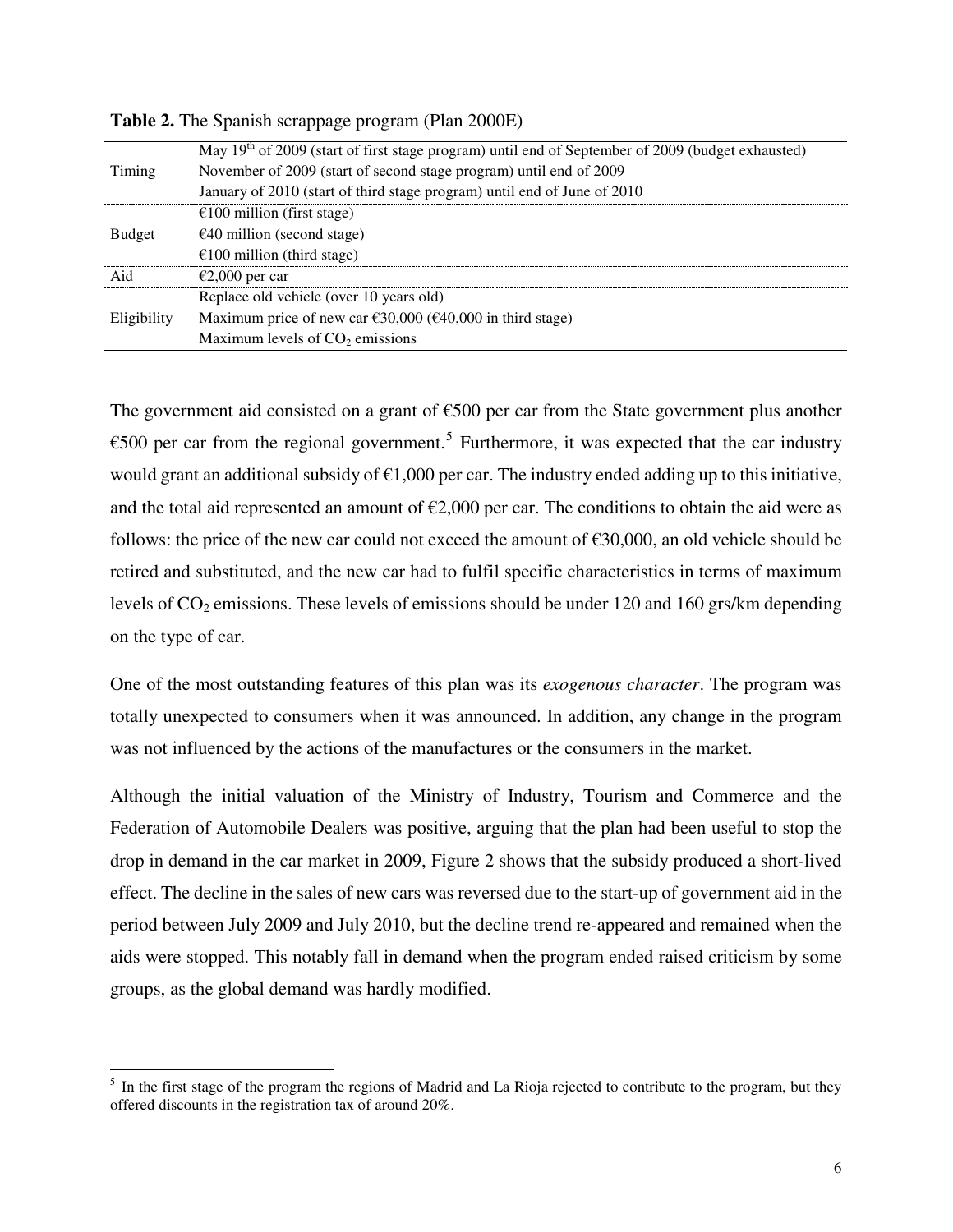| Timing        | May 19 <sup>th</sup> of 2009 (start of first stage program) until end of September of 2009 (budget exhausted)<br>November of 2009 (start of second stage program) until end of 2009<br>January of 2010 (start of third stage program) until end of June of 2010 |
|---------------|-----------------------------------------------------------------------------------------------------------------------------------------------------------------------------------------------------------------------------------------------------------------|
| <b>Budget</b> | €100 million (first stage)<br>$\epsilon$ 40 million (second stage)<br>$£100$ million (third stage)                                                                                                                                                              |
| Aid           | €2,000 per car                                                                                                                                                                                                                                                  |
|               | Replace old vehicle (over 10 years old)                                                                                                                                                                                                                         |
| Eligibility   | Maximum price of new car $\epsilon$ 30,000 ( $\epsilon$ 40,000 in third stage)<br>Maximum levels of $CO2$ emissions                                                                                                                                             |

**Table 2.** The Spanish scrappage program (Plan 2000E)

The government aid consisted on a grant of  $\epsilon$ 500 per car from the State government plus another €[5](#page-6-0)00 per car from the regional government.<sup>5</sup> Furthermore, it was expected that the car industry would grant an additional subsidy of  $\epsilon$ 1,000 per car. The industry ended adding up to this initiative, and the total aid represented an amount of  $\epsilon$ 2,000 per car. The conditions to obtain the aid were as follows: the price of the new car could not exceed the amount of €30,000, an old vehicle should be retired and substituted, and the new car had to fulfil specific characteristics in terms of maximum levels of  $CO<sub>2</sub>$  emissions. These levels of emissions should be under 120 and 160 grs/km depending on the type of car.

One of the most outstanding features of this plan was its *exogenous character*. The program was totally unexpected to consumers when it was announced. In addition, any change in the program was not influenced by the actions of the manufactures or the consumers in the market.

Although the initial valuation of the Ministry of Industry, Tourism and Commerce and the Federation of Automobile Dealers was positive, arguing that the plan had been useful to stop the drop in demand in the car market in 2009, Figure 2 shows that the subsidy produced a short-lived effect. The decline in the sales of new cars was reversed due to the start-up of government aid in the period between July 2009 and July 2010, but the decline trend re-appeared and remained when the aids were stopped. This notably fall in demand when the program ended raised criticism by some groups, as the global demand was hardly modified.

l

<span id="page-6-0"></span> $<sup>5</sup>$  In the first stage of the program the regions of Madrid and La Rioja rejected to contribute to the program, but they</sup> offered discounts in the registration tax of around 20%.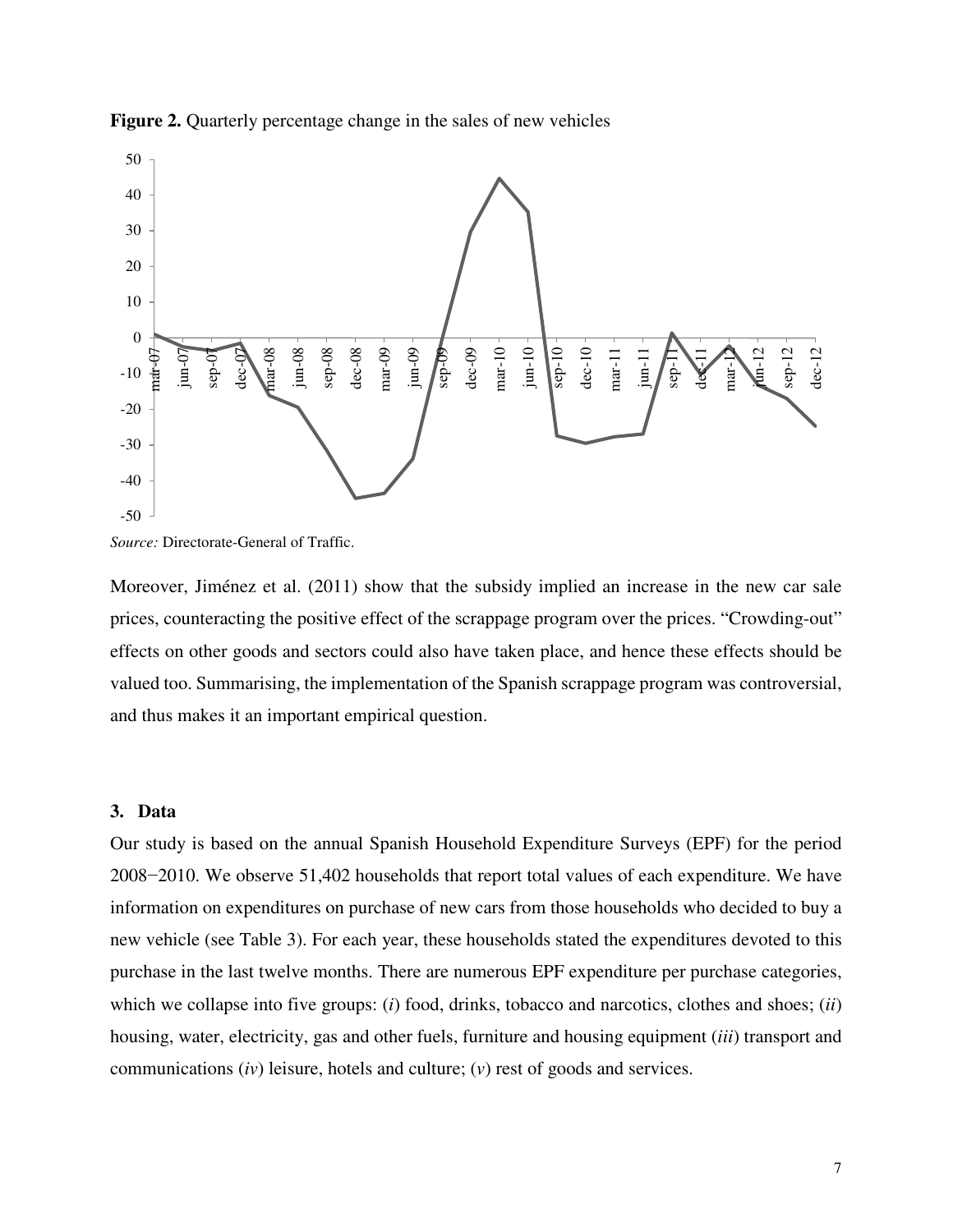

**Figure 2.** Quarterly percentage change in the sales of new vehicles

Moreover, Jiménez et al. (2011) show that the subsidy implied an increase in the new car sale prices, counteracting the positive effect of the scrappage program over the prices. "Crowding-out" effects on other goods and sectors could also have taken place, and hence these effects should be valued too. Summarising, the implementation of the Spanish scrappage program was controversial, and thus makes it an important empirical question.

#### **3. Data**

Our study is based on the annual Spanish Household Expenditure Surveys (EPF) for the period 2008−2010. We observe 51,402 households that report total values of each expenditure. We have information on expenditures on purchase of new cars from those households who decided to buy a new vehicle (see Table 3). For each year, these households stated the expenditures devoted to this purchase in the last twelve months. There are numerous EPF expenditure per purchase categories, which we collapse into five groups: (*i*) food, drinks, tobacco and narcotics, clothes and shoes; (*ii*) housing, water, electricity, gas and other fuels, furniture and housing equipment (*iii*) transport and communications (*iv*) leisure, hotels and culture; (*v*) rest of goods and services.

*Source:* Directorate-General of Traffic.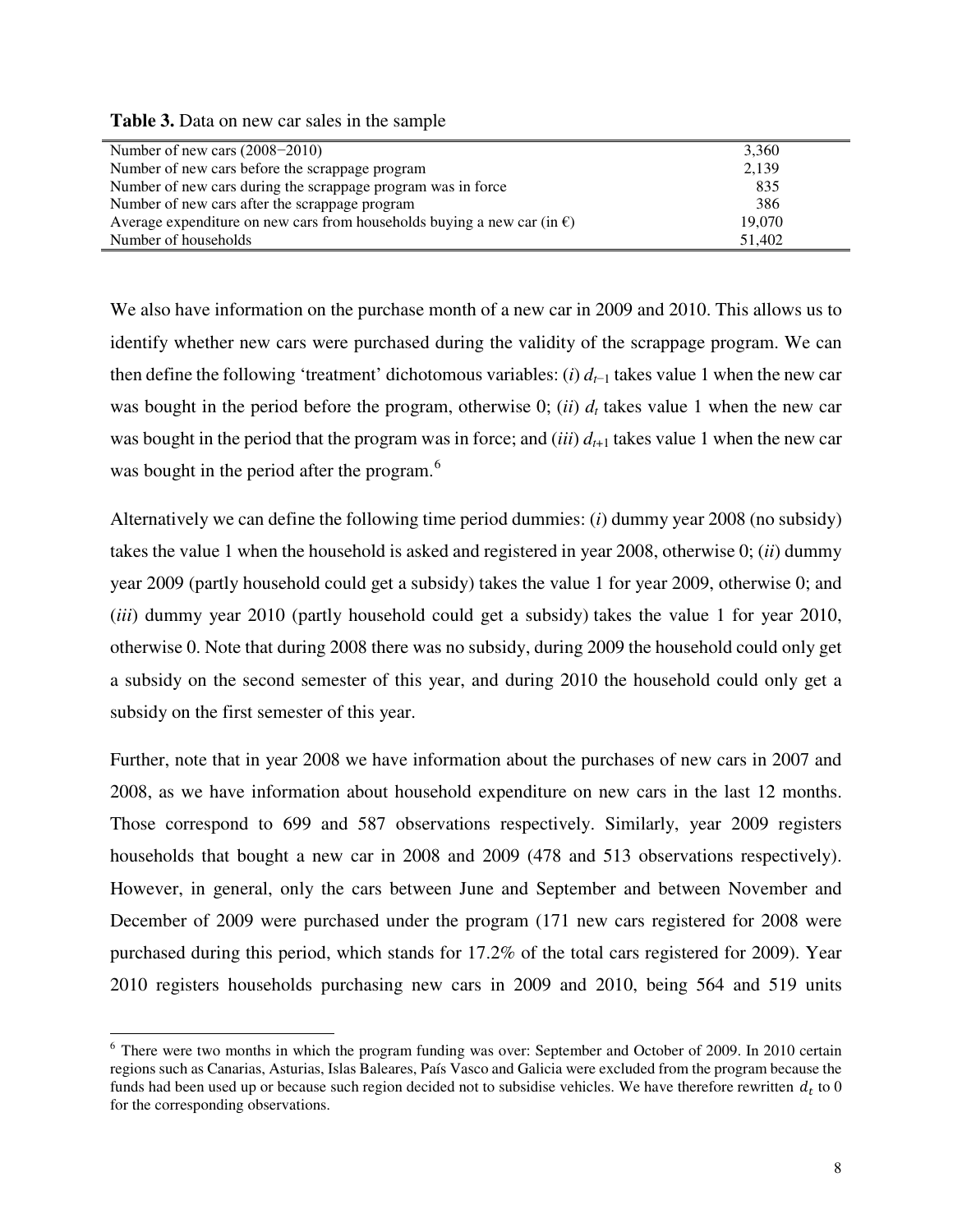**Table 3.** Data on new car sales in the sample

l

| Number of new cars $(2008-2010)$                                                  | 3,360  |
|-----------------------------------------------------------------------------------|--------|
| Number of new cars before the scrappage program                                   | 2,139  |
| Number of new cars during the scrappage program was in force                      | 835    |
| Number of new cars after the scrappage program                                    | 386    |
| Average expenditure on new cars from households buying a new car (in $\epsilon$ ) | 19,070 |
| Number of households                                                              | 51,402 |

We also have information on the purchase month of a new car in 2009 and 2010. This allows us to identify whether new cars were purchased during the validity of the scrappage program. We can then define the following 'treatment' dichotomous variables: (*i*) *d<sup>t</sup>*−<sup>1</sup> takes value 1 when the new car was bought in the period before the program, otherwise 0; (*ii*)  $d_t$  takes value 1 when the new car was bought in the period that the program was in force; and *(iii)*  $d_{t+1}$  takes value 1 when the new car was bought in the period after the program.<sup>[6](#page-8-0)</sup>

Alternatively we can define the following time period dummies: (*i*) dummy year 2008 (no subsidy) takes the value 1 when the household is asked and registered in year 2008, otherwise 0; (*ii*) dummy year 2009 (partly household could get a subsidy) takes the value 1 for year 2009, otherwise 0; and (*iii*) dummy year 2010 (partly household could get a subsidy) takes the value 1 for year 2010, otherwise 0. Note that during 2008 there was no subsidy, during 2009 the household could only get a subsidy on the second semester of this year, and during 2010 the household could only get a subsidy on the first semester of this year.

Further, note that in year 2008 we have information about the purchases of new cars in 2007 and 2008, as we have information about household expenditure on new cars in the last 12 months. Those correspond to 699 and 587 observations respectively. Similarly, year 2009 registers households that bought a new car in 2008 and 2009 (478 and 513 observations respectively). However, in general, only the cars between June and September and between November and December of 2009 were purchased under the program (171 new cars registered for 2008 were purchased during this period, which stands for 17.2% of the total cars registered for 2009). Year 2010 registers households purchasing new cars in 2009 and 2010, being 564 and 519 units

<span id="page-8-0"></span><sup>&</sup>lt;sup>6</sup> There were two months in which the program funding was over: September and October of 2009. In 2010 certain regions such as Canarias, Asturias, Islas Baleares, País Vasco and Galicia were excluded from the program because the funds had been used up or because such region decided not to subsidise vehicles. We have therefore rewritten  $d_t$  to 0 for the corresponding observations.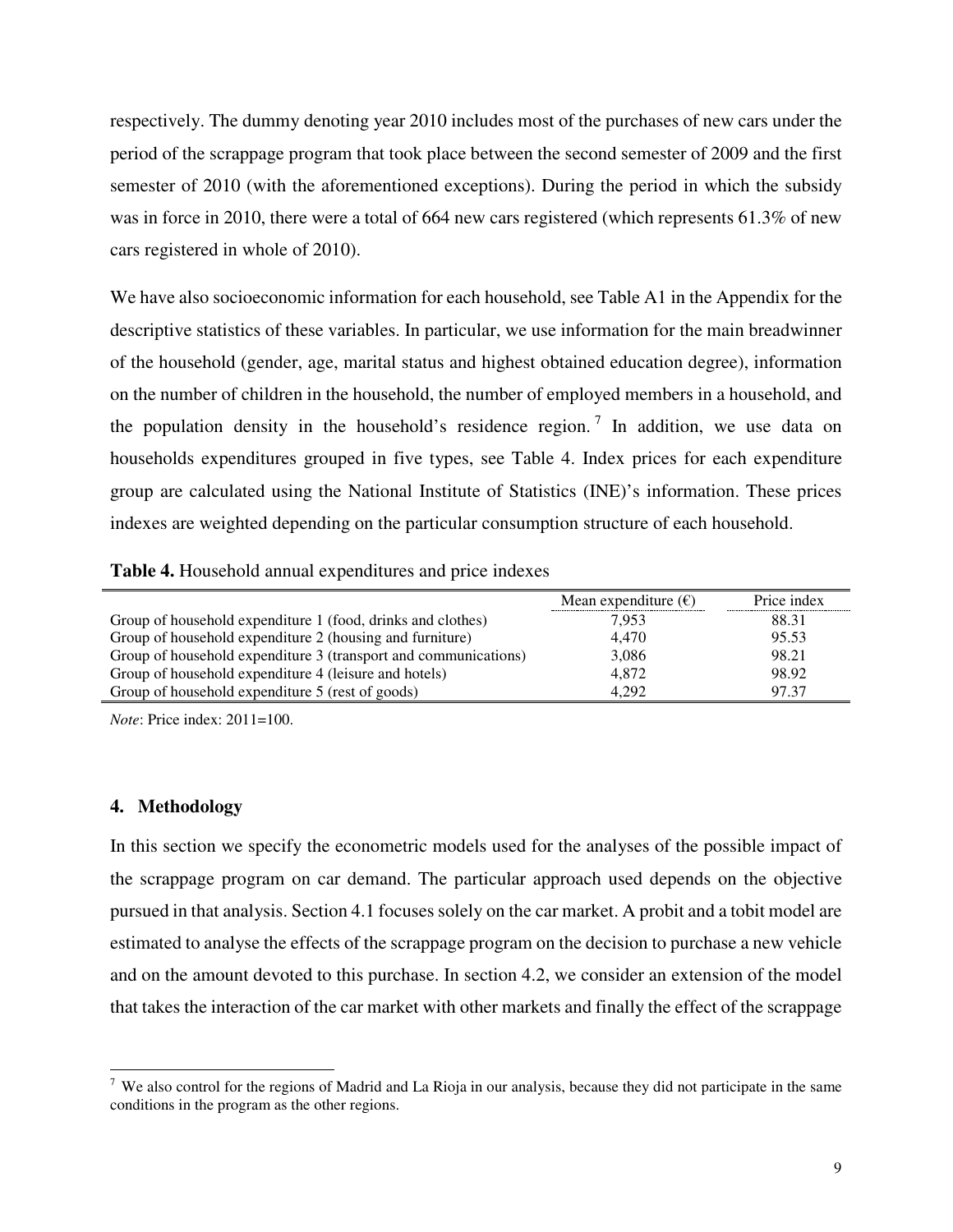respectively. The dummy denoting year 2010 includes most of the purchases of new cars under the period of the scrappage program that took place between the second semester of 2009 and the first semester of 2010 (with the aforementioned exceptions). During the period in which the subsidy was in force in 2010, there were a total of 664 new cars registered (which represents 61.3% of new cars registered in whole of 2010).

We have also socioeconomic information for each household, see Table A1 in the Appendix for the descriptive statistics of these variables. In particular, we use information for the main breadwinner of the household (gender, age, marital status and highest obtained education degree), information on the number of children in the household, the number of employed members in a household, and the population density in the household's residence region.<sup>[7](#page-9-0)</sup> In addition, we use data on households expenditures grouped in five types, see Table 4. Index prices for each expenditure group are calculated using the National Institute of Statistics (INE)'s information. These prices indexes are weighted depending on the particular consumption structure of each household.

| Table 4. Household annual expenditures and price indexes |  |  |
|----------------------------------------------------------|--|--|
|----------------------------------------------------------|--|--|

|                                                                 | Mean expenditure $(\epsilon)$ | Price index |
|-----------------------------------------------------------------|-------------------------------|-------------|
| Group of household expenditure 1 (food, drinks and clothes)     | 7.953                         | 88.31       |
| Group of household expenditure 2 (housing and furniture)        | 4.470                         | 95.53       |
| Group of household expenditure 3 (transport and communications) | 3,086                         | 98.21       |
| Group of household expenditure 4 (leisure and hotels)           | 4.872                         | 98.92       |
| Group of household expenditure 5 (rest of goods)                | 4.292                         | 97.37       |

*Note*: Price index: 2011=100.

#### **4. Methodology**

 $\overline{a}$ 

In this section we specify the econometric models used for the analyses of the possible impact of the scrappage program on car demand. The particular approach used depends on the objective pursued in that analysis. Section 4.1 focuses solely on the car market. A probit and a tobit model are estimated to analyse the effects of the scrappage program on the decision to purchase a new vehicle and on the amount devoted to this purchase. In section 4.2, we consider an extension of the model that takes the interaction of the car market with other markets and finally the effect of the scrappage

<span id="page-9-0"></span> $7$  We also control for the regions of Madrid and La Rioja in our analysis, because they did not participate in the same conditions in the program as the other regions.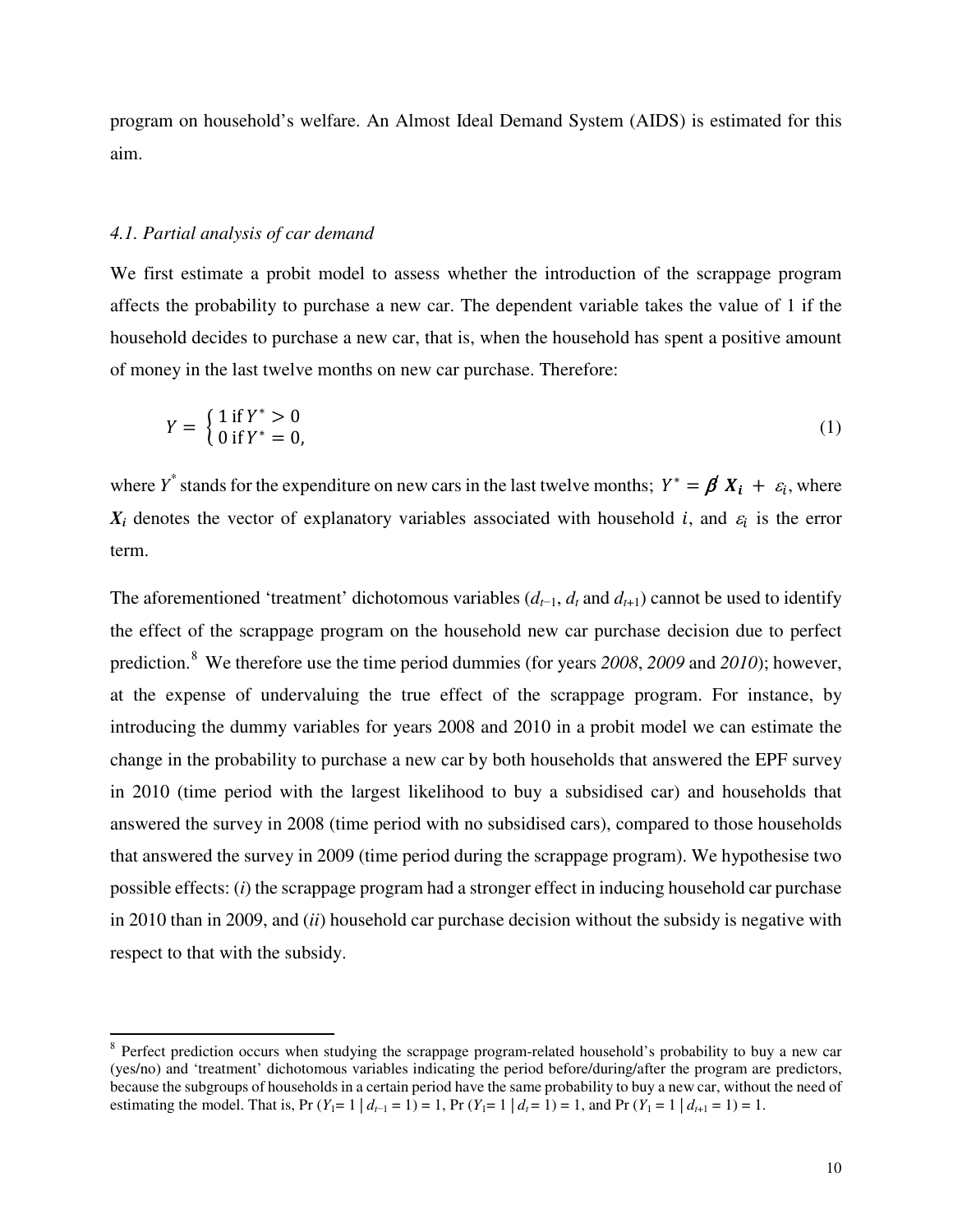program on household's welfare. An Almost Ideal Demand System (AIDS) is estimated for this aim.

#### *4.1. Partial analysis of car demand*

 $\overline{a}$ 

We first estimate a probit model to assess whether the introduction of the scrappage program affects the probability to purchase a new car. The dependent variable takes the value of 1 if the household decides to purchase a new car, that is, when the household has spent a positive amount of money in the last twelve months on new car purchase. Therefore:

$$
Y = \begin{cases} 1 \text{ if } Y^* > 0 \\ 0 \text{ if } Y^* = 0, \end{cases}
$$
 (1)

where  $Y^*$  stands for the expenditure on new cars in the last twelve months;  $Y^* = \beta X_i + \varepsilon_i$ , where  $X_i$  denotes the vector of explanatory variables associated with household *i*, and  $\varepsilon_i$  is the error term.

The aforementioned 'treatment' dichotomous variables  $(d_{t-1}, d_t)$  cannot be used to identify the effect of the scrappage program on the household new car purchase decision due to perfect prediction.[8](#page-10-0) We therefore use the time period dummies (for years *2008*, *2009* and *2010*); however, at the expense of undervaluing the true effect of the scrappage program. For instance, by introducing the dummy variables for years 2008 and 2010 in a probit model we can estimate the change in the probability to purchase a new car by both households that answered the EPF survey in 2010 (time period with the largest likelihood to buy a subsidised car) and households that answered the survey in 2008 (time period with no subsidised cars), compared to those households that answered the survey in 2009 (time period during the scrappage program). We hypothesise two possible effects: (*i*) the scrappage program had a stronger effect in inducing household car purchase in 2010 than in 2009, and (*ii*) household car purchase decision without the subsidy is negative with respect to that with the subsidy.

<span id="page-10-0"></span><sup>&</sup>lt;sup>8</sup> Perfect prediction occurs when studying the scrappage program-related household's probability to buy a new car (yes/no) and 'treatment' dichotomous variables indicating the period before/during/after the program are predictors, because the subgroups of households in a certain period have the same probability to buy a new car, without the need of estimating the model. That is, Pr  $(Y_1 = 1 \mid d_{t-1} = 1) = 1$ , Pr  $(Y_1 = 1 \mid d_t = 1) = 1$ , and Pr  $(Y_1 = 1 \mid d_{t+1} = 1) = 1$ .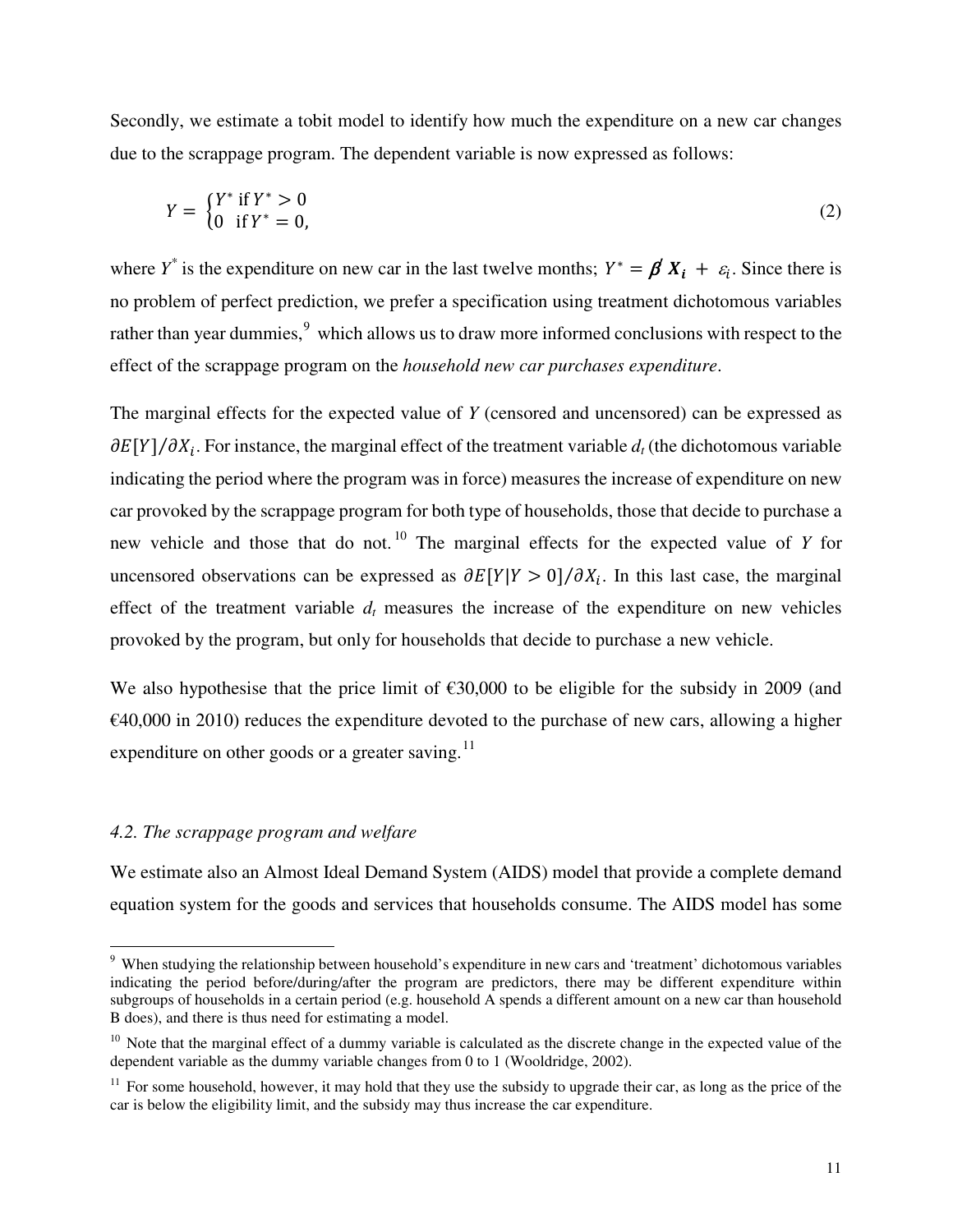Secondly, we estimate a tobit model to identify how much the expenditure on a new car changes due to the scrappage program. The dependent variable is now expressed as follows:

$$
Y = \begin{cases} Y^* & \text{if } Y^* > 0 \\ 0 & \text{if } Y^* = 0, \end{cases}
$$
 (2)

where *Y*<sup>\*</sup> is the expenditure on new car in the last twelve months;  $Y^* = \beta X_i + \varepsilon_i$ . Since there is no problem of perfect prediction, we prefer a specification using treatment dichotomous variables rather than year dummies, <sup>[9](#page-11-0)</sup> which allows us to draw more informed conclusions with respect to the effect of the scrappage program on the *household new car purchases expenditure*.

The marginal effects for the expected value of *Y* (censored and uncensored) can be expressed as  $\partial E[Y]/\partial X_i$ . For instance, the marginal effect of the treatment variable  $d_t$  (the dichotomous variable indicating the period where the program was in force) measures the increase of expenditure on new car provoked by the scrappage program for both type of households, those that decide to purchase a new vehicle and those that do not.<sup>[10](#page-11-1)</sup> The marginal effects for the expected value of  $Y$  for uncensored observations can be expressed as  $\partial E[Y|Y > 0]/\partial X_i$ . In this last case, the marginal effect of the treatment variable  $d_t$  measures the increase of the expenditure on new vehicles provoked by the program, but only for households that decide to purchase a new vehicle.

We also hypothesise that the price limit of  $\epsilon$ 30,000 to be eligible for the subsidy in 2009 (and  $\epsilon$ 40,000 in 2010) reduces the expenditure devoted to the purchase of new cars, allowing a higher expenditure on other goods or a greater saving.<sup>[11](#page-11-2)</sup>

#### *4.2. The scrappage program and welfare*

l

We estimate also an Almost Ideal Demand System (AIDS) model that provide a complete demand equation system for the goods and services that households consume. The AIDS model has some

<span id="page-11-0"></span><sup>&</sup>lt;sup>9</sup> When studying the relationship between household's expenditure in new cars and 'treatment' dichotomous variables indicating the period before/during/after the program are predictors, there may be different expenditure within subgroups of households in a certain period (e.g. household A spends a different amount on a new car than household B does), and there is thus need for estimating a model.

<span id="page-11-1"></span> $10$  Note that the marginal effect of a dummy variable is calculated as the discrete change in the expected value of the dependent variable as the dummy variable changes from 0 to 1 (Wooldridge, 2002).

<span id="page-11-2"></span> $11$  For some household, however, it may hold that they use the subsidy to upgrade their car, as long as the price of the car is below the eligibility limit, and the subsidy may thus increase the car expenditure.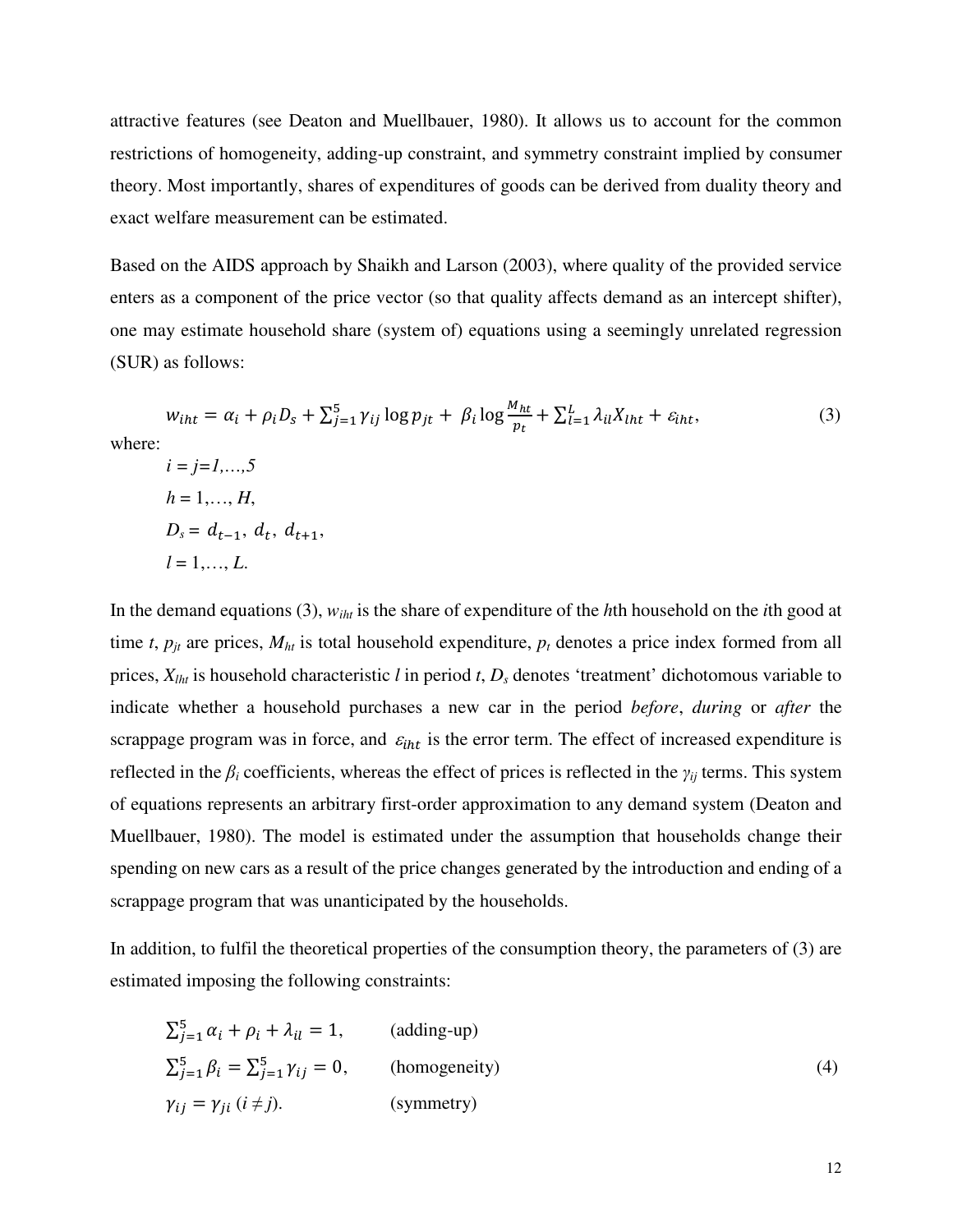attractive features (see Deaton and Muellbauer, 1980). It allows us to account for the common restrictions of homogeneity, adding-up constraint, and symmetry constraint implied by consumer theory. Most importantly, shares of expenditures of goods can be derived from duality theory and exact welfare measurement can be estimated.

Based on the AIDS approach by Shaikh and Larson (2003), where quality of the provided service enters as a component of the price vector (so that quality affects demand as an intercept shifter), one may estimate household share (system of) equations using a seemingly unrelated regression (SUR) as follows:

$$
w_{iht} = \alpha_i + \rho_i D_s + \sum_{j=1}^{5} \gamma_{ij} \log p_{jt} + \beta_i \log \frac{M_{ht}}{p_t} + \sum_{l=1}^{L} \lambda_{il} X_{lht} + \varepsilon_{iht},
$$
  
\nwhere:  
\n $i = j = 1,..., 5$   
\n $h = 1,..., H,$   
\n $D_s = d_{t-1}, d_t, d_{t+1},$  (3)

$$
l=1,\ldots,L.
$$

In the demand equations (3),  $w_{iht}$  is the share of expenditure of the *h*th household on the *i*th good at time *t*,  $p_{it}$  are prices,  $M_{ht}$  is total household expenditure,  $p_t$  denotes a price index formed from all prices,  $X_{lht}$  is household characteristic *l* in period *t*,  $D_s$  denotes 'treatment' dichotomous variable to indicate whether a household purchases a new car in the period *before*, *during* or *after* the scrappage program was in force, and  $\varepsilon_{iht}$  is the error term. The effect of increased expenditure is reflected in the  $\beta_i$  coefficients, whereas the effect of prices is reflected in the  $\gamma_i$  terms. This system of equations represents an arbitrary first-order approximation to any demand system (Deaton and Muellbauer, 1980). The model is estimated under the assumption that households change their spending on new cars as a result of the price changes generated by the introduction and ending of a scrappage program that was unanticipated by the households.

In addition, to fulfil the theoretical properties of the consumption theory, the parameters of (3) are estimated imposing the following constraints:

$$
\sum_{j=1}^{5} \alpha_i + \rho_i + \lambda_{il} = 1,
$$
 (adding-up)  

$$
\sum_{j=1}^{5} \beta_i = \sum_{j=1}^{5} \gamma_{ij} = 0,
$$
 (homogeneity)  

$$
\gamma_{ij} = \gamma_{ji} \ (i \neq j).
$$
 (symmetry) (4)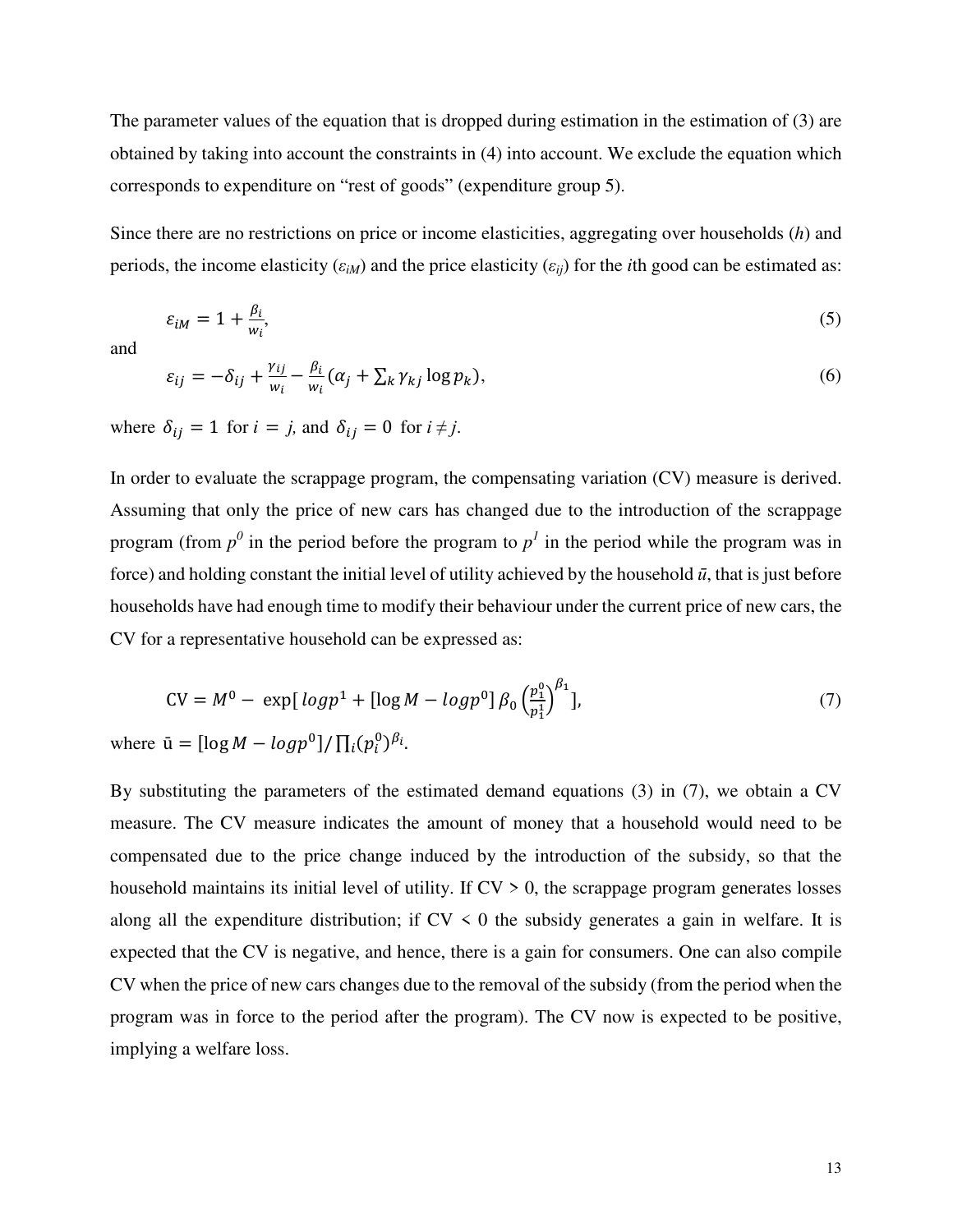The parameter values of the equation that is dropped during estimation in the estimation of (3) are obtained by taking into account the constraints in (4) into account. We exclude the equation which corresponds to expenditure on "rest of goods" (expenditure group 5).

Since there are no restrictions on price or income elasticities, aggregating over households (*h*) and periods, the income elasticity  $(\varepsilon_{iM})$  and the price elasticity  $(\varepsilon_{ii})$  for the *i*th good can be estimated as:

$$
\varepsilon_{iM} = 1 + \frac{\beta_i}{w_i},\tag{5}
$$

and

$$
\varepsilon_{ij} = -\delta_{ij} + \frac{\gamma_{ij}}{w_i} - \frac{\beta_i}{w_i} (\alpha_j + \sum_k \gamma_{kj} \log p_k),\tag{6}
$$

where  $\delta_{ij} = 1$  for  $i = j$ , and  $\delta_{ij} = 0$  for  $i \neq j$ .

In order to evaluate the scrappage program, the compensating variation (CV) measure is derived. Assuming that only the price of new cars has changed due to the introduction of the scrappage program (from  $p^0$  in the period before the program to  $p^1$  in the period while the program was in force) and holding constant the initial level of utility achieved by the household  $\bar{u}$ , that is just before households have had enough time to modify their behaviour under the current price of new cars, the CV for a representative household can be expressed as:

$$
CV = M^{0} - \exp[log p^{1} + [log M - log p^{0}] \beta_{0} \left(\frac{p_{1}^{0}}{p_{1}^{1}}\right)^{\beta_{1}}],
$$
\n(7)

where  $\bar{u} = [\log M - \log p^0] / \prod_i (p_i^0)^{\beta_i}$ .

By substituting the parameters of the estimated demand equations (3) in (7), we obtain a CV measure. The CV measure indicates the amount of money that a household would need to be compensated due to the price change induced by the introduction of the subsidy, so that the household maintains its initial level of utility. If  $CV > 0$ , the scrappage program generates losses along all the expenditure distribution; if  $CV \leq 0$  the subsidy generates a gain in welfare. It is expected that the CV is negative, and hence, there is a gain for consumers. One can also compile CV when the price of new cars changes due to the removal of the subsidy (from the period when the program was in force to the period after the program). The CV now is expected to be positive, implying a welfare loss.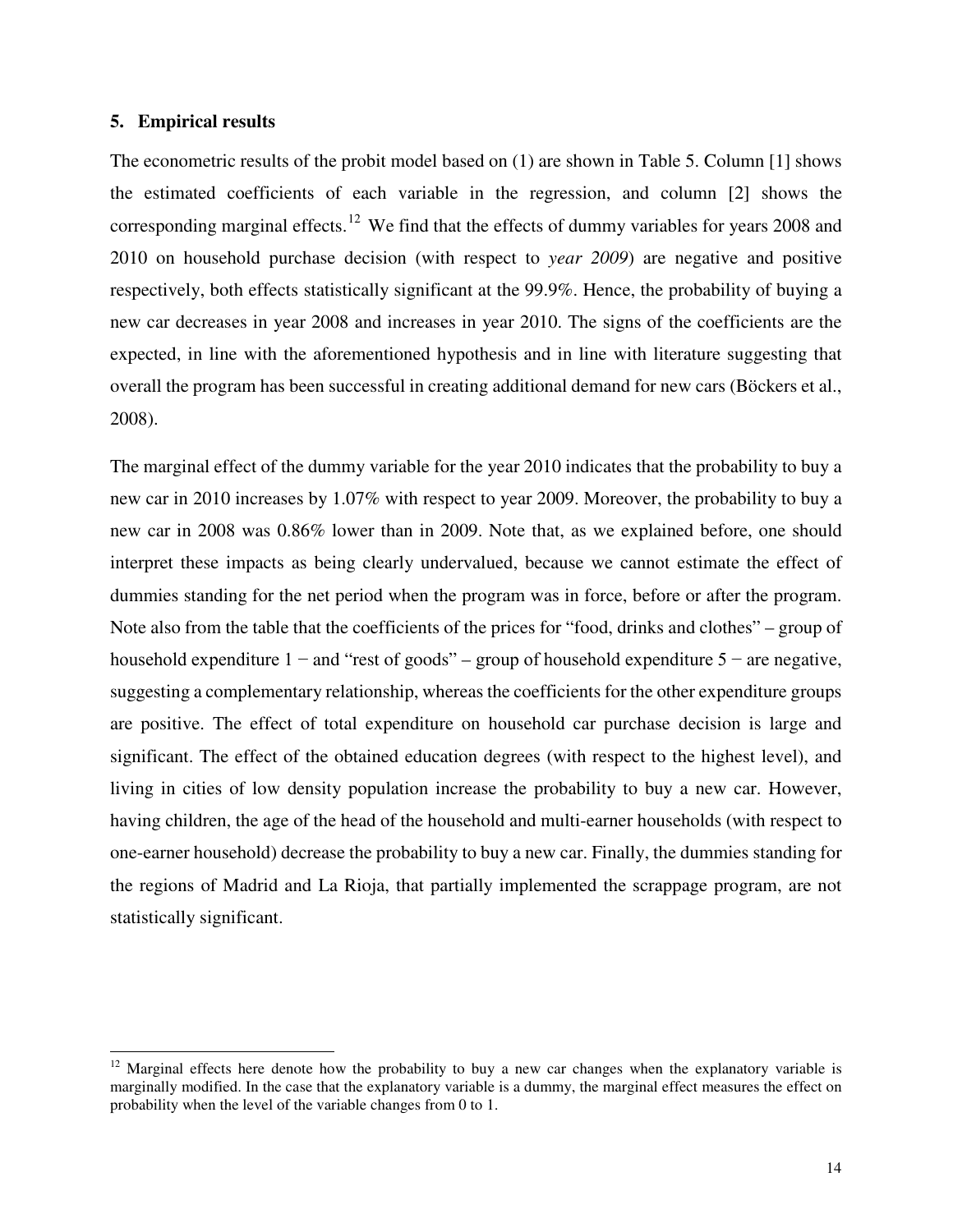#### **5. Empirical results**

 $\overline{a}$ 

The econometric results of the probit model based on (1) are shown in Table 5. Column [1] shows the estimated coefficients of each variable in the regression, and column [2] shows the corresponding marginal effects.<sup>[12](#page-14-0)</sup> We find that the effects of dummy variables for years 2008 and 2010 on household purchase decision (with respect to *year 2009*) are negative and positive respectively, both effects statistically significant at the 99.9%. Hence, the probability of buying a new car decreases in year 2008 and increases in year 2010. The signs of the coefficients are the expected, in line with the aforementioned hypothesis and in line with literature suggesting that overall the program has been successful in creating additional demand for new cars (Böckers et al., 2008).

The marginal effect of the dummy variable for the year 2010 indicates that the probability to buy a new car in 2010 increases by 1.07% with respect to year 2009. Moreover, the probability to buy a new car in 2008 was 0.86% lower than in 2009. Note that, as we explained before, one should interpret these impacts as being clearly undervalued, because we cannot estimate the effect of dummies standing for the net period when the program was in force, before or after the program. Note also from the table that the coefficients of the prices for "food, drinks and clothes" – group of household expenditure 1 − and "rest of goods" – group of household expenditure 5 − are negative, suggesting a complementary relationship, whereas the coefficients for the other expenditure groups are positive. The effect of total expenditure on household car purchase decision is large and significant. The effect of the obtained education degrees (with respect to the highest level), and living in cities of low density population increase the probability to buy a new car. However, having children, the age of the head of the household and multi-earner households (with respect to one-earner household) decrease the probability to buy a new car. Finally, the dummies standing for the regions of Madrid and La Rioja, that partially implemented the scrappage program, are not statistically significant.

<span id="page-14-0"></span><sup>&</sup>lt;sup>12</sup> Marginal effects here denote how the probability to buy a new car changes when the explanatory variable is marginally modified. In the case that the explanatory variable is a dummy, the marginal effect measures the effect on probability when the level of the variable changes from 0 to 1.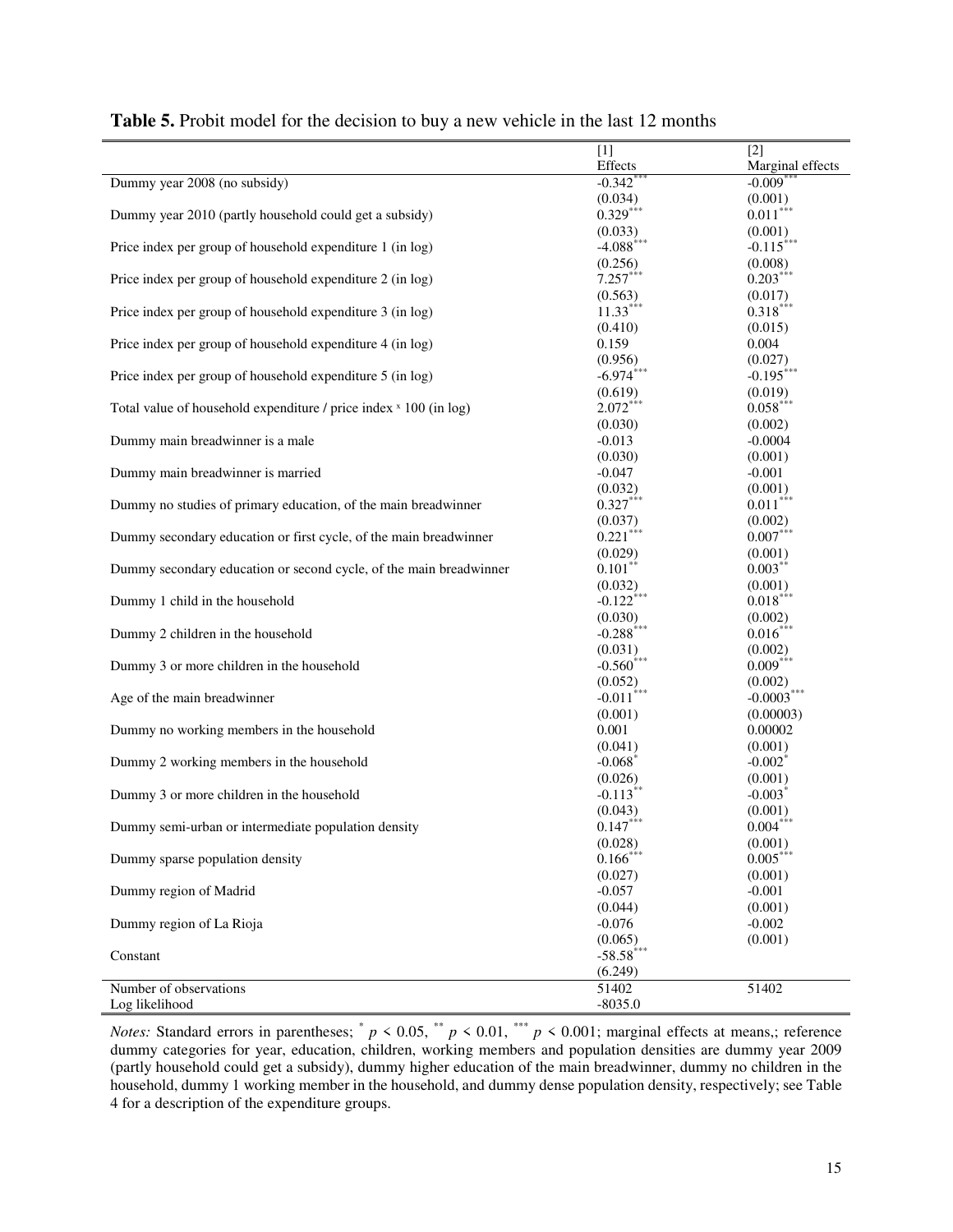|                                                                    | $[1]$                              | $[2]$                              |
|--------------------------------------------------------------------|------------------------------------|------------------------------------|
|                                                                    | Effects                            | Marginal effects                   |
| Dummy year 2008 (no subsidy)                                       | $-0.342$                           | $-0.009$ <sup>*</sup>              |
|                                                                    | (0.034)                            | (0.001)                            |
| Dummy year 2010 (partly household could get a subsidy)             | $0.329***$                         | $0.011***$                         |
|                                                                    |                                    | (0.001)                            |
| Price index per group of household expenditure 1 (in log)          | $(0.033)$<br>-4.088***             | $-0.115$ ***                       |
|                                                                    |                                    | (0.008)                            |
| Price index per group of household expenditure 2 (in log)          | $(0.256)$<br>7.257***              | $0.203***$                         |
|                                                                    | (0.563)                            | (0.017)                            |
| Price index per group of household expenditure 3 (in log)          | $11.33***$                         | $0.318***$                         |
|                                                                    | (0.410)                            | (0.015)                            |
| Price index per group of household expenditure 4 (in log)          | 0.159                              | 0.004                              |
|                                                                    | (0.956)                            | (0.027)                            |
| Price index per group of household expenditure 5 (in log)          | $-6.974$ ***                       | $-0.195$ ***                       |
|                                                                    | $(0.619)$<br>2.072***              | (0.019)                            |
| Total value of household expenditure / price index × 100 (in log)  |                                    | $0.058***$                         |
|                                                                    | (0.030)                            | (0.002)                            |
| Dummy main breadwinner is a male                                   | $-0.013$                           | $-0.0004$                          |
|                                                                    | (0.030)                            | (0.001)                            |
| Dummy main breadwinner is married                                  | $-0.047$                           | $-0.001$                           |
|                                                                    | (0.032)                            | (0.001)                            |
| Dummy no studies of primary education, of the main breadwinner     | $0.327***$                         | $0.011***$                         |
|                                                                    | (0.037)<br>$0.221***$              | (0.002)<br>$0.007***$              |
| Dummy secondary education or first cycle, of the main breadwinner  |                                    |                                    |
| Dummy secondary education or second cycle, of the main breadwinner | (0.029)<br>$0.101$ **              | $(0.001)$<br>$0.003$ <sup>**</sup> |
|                                                                    |                                    |                                    |
| Dummy 1 child in the household                                     | $(0.032)$<br>-0.122***             | $(0.001)$<br>$0.018$ ***           |
|                                                                    |                                    | (0.002)                            |
| Dummy 2 children in the household                                  | $(0.030)$<br>-0.288***             | $0.016***$                         |
|                                                                    |                                    | (0.002)                            |
| Dummy 3 or more children in the household                          | $(0.031)$<br>-0.560 <sup>***</sup> | $0.009***$                         |
|                                                                    | (0.052)                            | (0.002)                            |
| Age of the main breadwinner                                        | $-0.011$ ***                       | $-0.0003$ **                       |
|                                                                    | (0.001)                            | (0.00003)                          |
| Dummy no working members in the household                          | 0.001                              | 0.00002                            |
|                                                                    | (0.041)                            | (0.001)                            |
| Dummy 2 working members in the household                           | $-0.068$ <sup>*</sup>              | $-0.002^*$                         |
|                                                                    | $(0.026)$<br>-0.113 <sup>**</sup>  | (0.001)                            |
| Dummy 3 or more children in the household                          |                                    | $-0.003$                           |
|                                                                    | (0.043)                            | (0.001)                            |
| Dummy semi-urban or intermediate population density                | $0.147***$                         | $0.004***$                         |
|                                                                    | (0.028)                            | (0.001)                            |
| Dummy sparse population density                                    | $0.166$ ***                        | $0.005***$                         |
|                                                                    | (0.027)                            | (0.001)                            |
| Dummy region of Madrid                                             | $-0.057$                           | $-0.001$                           |
|                                                                    | (0.044)                            | (0.001)                            |
| Dummy region of La Rioja                                           | $-0.076$                           | $-0.002$                           |
|                                                                    | (0.065)                            | (0.001)                            |
| Constant                                                           | $-58.58***$                        |                                    |
|                                                                    | (6.249)                            |                                    |
| Number of observations                                             | 51402                              | 51402                              |
| Log likelihood                                                     | $-8035.0$                          |                                    |

#### **Table 5.** Probit model for the decision to buy a new vehicle in the last 12 months

*Notes:* Standard errors in parentheses;  $p < 0.05$ ,  $p < 0.01$ ,  $p < 0.001$ ; marginal effects at means,; reference dummy categories for year, education, children, working members and population densities are dummy year 2009 (partly household could get a subsidy), dummy higher education of the main breadwinner, dummy no children in the household, dummy 1 working member in the household, and dummy dense population density, respectively; see Table 4 for a description of the expenditure groups.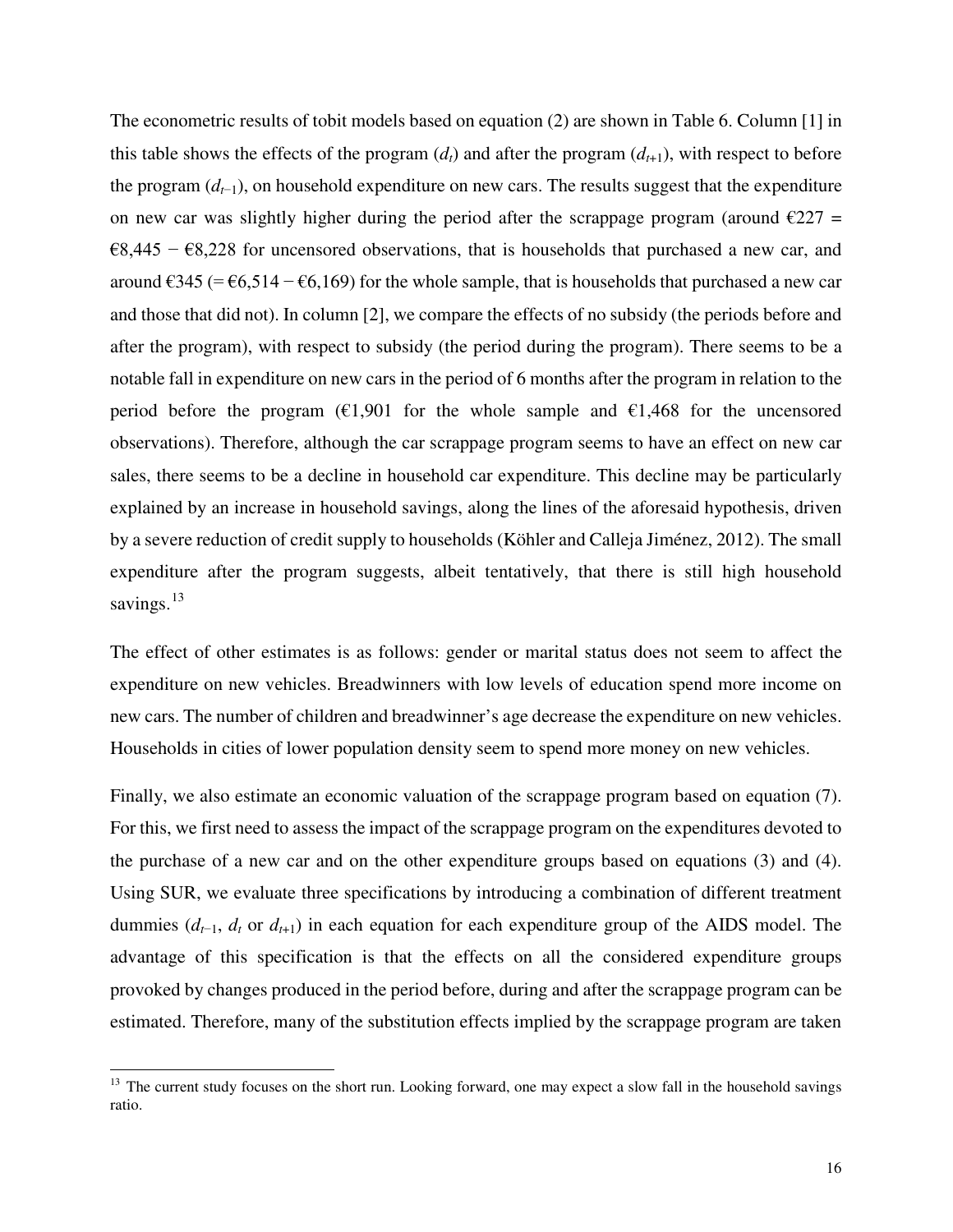The econometric results of tobit models based on equation (2) are shown in Table 6. Column [1] in this table shows the effects of the program  $(d_t)$  and after the program  $(d_{t+1})$ , with respect to before the program (*d<sup>t</sup>*−1), on household expenditure on new cars. The results suggest that the expenditure on new car was slightly higher during the period after the scrappage program (around  $\epsilon$ 227 =  $68,445 - 68,228$  for uncensored observations, that is households that purchased a new car, and around €345 (= €6,514 – €6,169) for the whole sample, that is households that purchased a new car and those that did not). In column [2], we compare the effects of no subsidy (the periods before and after the program), with respect to subsidy (the period during the program). There seems to be a notable fall in expenditure on new cars in the period of 6 months after the program in relation to the period before the program ( $\epsilon$ 1,901 for the whole sample and  $\epsilon$ 1,468 for the uncensored observations). Therefore, although the car scrappage program seems to have an effect on new car sales, there seems to be a decline in household car expenditure. This decline may be particularly explained by an increase in household savings, along the lines of the aforesaid hypothesis, driven by a severe reduction of credit supply to households (Köhler and Calleja Jiménez, 2012). The small expenditure after the program suggests, albeit tentatively, that there is still high household savings.<sup>[13](#page-16-0)</sup>

The effect of other estimates is as follows: gender or marital status does not seem to affect the expenditure on new vehicles. Breadwinners with low levels of education spend more income on new cars. The number of children and breadwinner's age decrease the expenditure on new vehicles. Households in cities of lower population density seem to spend more money on new vehicles.

Finally, we also estimate an economic valuation of the scrappage program based on equation (7). For this, we first need to assess the impact of the scrappage program on the expenditures devoted to the purchase of a new car and on the other expenditure groups based on equations (3) and (4). Using SUR, we evaluate three specifications by introducing a combination of different treatment dummies  $(d_{t-1}, d_t$  or  $d_{t+1}$ ) in each equation for each expenditure group of the AIDS model. The advantage of this specification is that the effects on all the considered expenditure groups provoked by changes produced in the period before, during and after the scrappage program can be estimated. Therefore, many of the substitution effects implied by the scrappage program are taken

l

<span id="page-16-0"></span><sup>&</sup>lt;sup>13</sup> The current study focuses on the short run. Looking forward, one may expect a slow fall in the household savings ratio.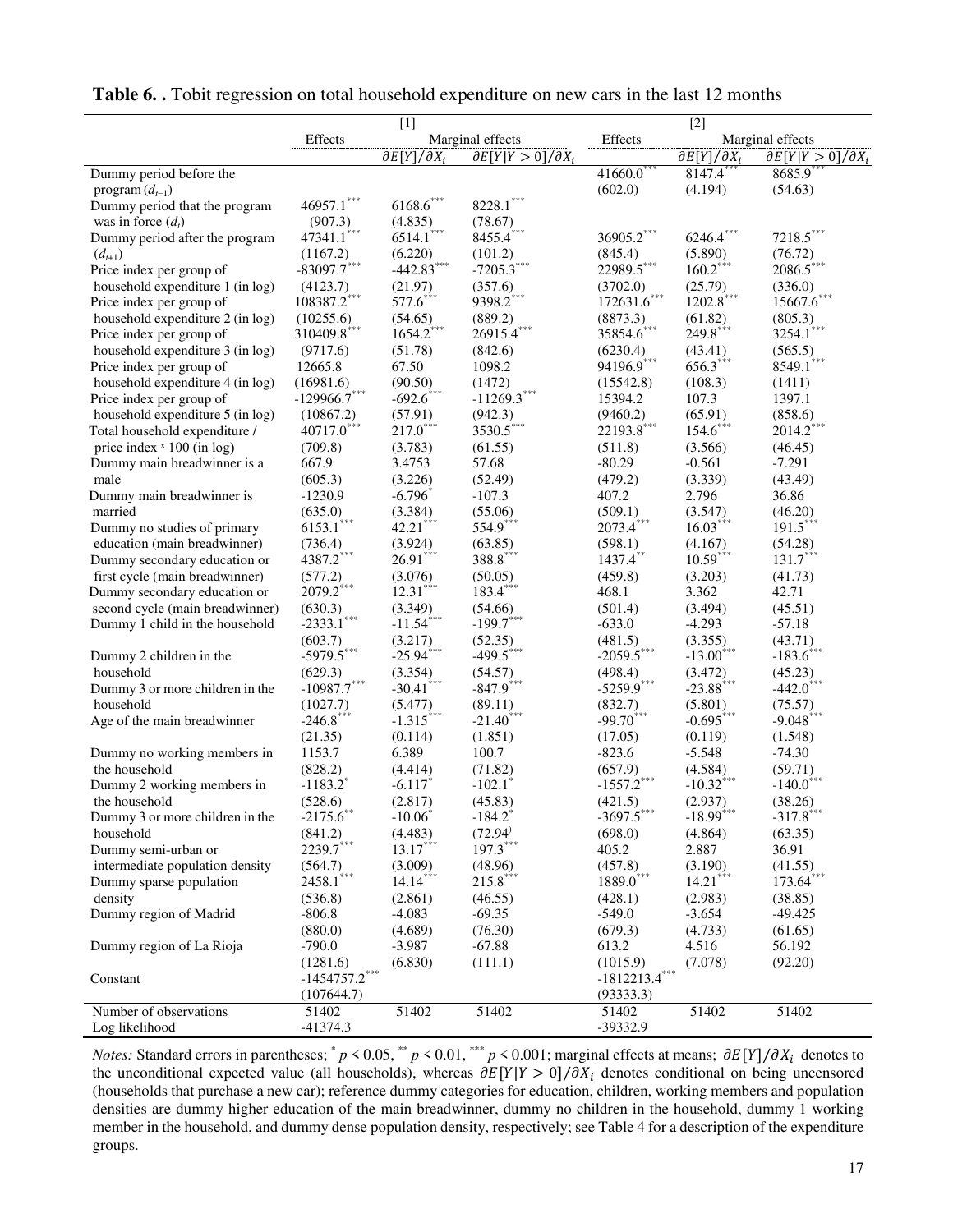|                                                             |                          | $[1]$                        |                                  | $[2]$                   |                              |                                  |
|-------------------------------------------------------------|--------------------------|------------------------------|----------------------------------|-------------------------|------------------------------|----------------------------------|
|                                                             | Effects                  |                              | Marginal effects                 | Effects                 |                              | Marginal effects                 |
|                                                             |                          | $\partial E[Y]/\partial X_i$ | $\partial E[Y Y>0]/\partial X_i$ |                         | $\partial E[Y]/\partial X_i$ | $\partial E[Y Y>0]/\partial X_i$ |
| Dummy period before the                                     |                          |                              |                                  | $41660.0^{***}$         | 8147.4**                     | 8685.9                           |
| program $(d_{t-1})$                                         |                          |                              |                                  | (602.0)                 | (4.194)                      | (54.63)                          |
| Dummy period that the program                               | $46957.1***$             | $6168.6***$                  | 8228.1                           |                         |                              |                                  |
| was in force $(d_t)$                                        | (907.3)                  | (4.835)                      | (78.67)                          |                         |                              |                                  |
| Dummy period after the program                              | 47341.1***               | $6514.1$ ***                 | 8455.4***                        | $36905.2***$            | $6246.4***$                  | $7218.5***$                      |
| $(d_{t+1})$                                                 | (1167.2)                 | (6.220)                      | (101.2)                          | (845.4)                 | (5.890)                      | (76.72)                          |
| Price index per group of                                    | $-83097.7$ ***           | $-442.83$ <sup>***</sup>     | $-7205.3***$                     | 22989.5***              | $160.2***$                   | 2086.5                           |
| household expenditure 1 (in log)                            | (4123.7)                 | (21.97)                      | (357.6)                          | (3702.0)                | (25.79)                      | (336.0)                          |
| Price index per group of                                    | 108387.2***              | $577.6***$                   | 9398.2***                        | $172631.6***$           | $1202.8$ ***                 | $15667.6***$                     |
| household expenditure 2 (in log)                            | (10255.6)                | (54.65)                      | (889.2)                          | (8873.3)                | (61.82)                      | (805.3)                          |
| Price index per group of                                    | 310409.8***              | $1654.2$ ***                 | 26915.4***                       | 35854.6***              | 249.8***                     | 3254.1***                        |
| household expenditure 3 (in log)                            | (9717.6)                 | (51.78)                      | (842.6)                          | (6230.4)                | (43.41)                      | (565.5)                          |
| Price index per group of                                    | 12665.8                  | 67.50                        | 1098.2                           | 94196.9***              | $656.3***$                   | $8549.1$ ***                     |
| household expenditure 4 (in log)                            | (16981.6)                | (90.50)                      | (1472)                           | (15542.8)               | (108.3)                      | (1411)                           |
| Price index per group of                                    | $-129966.7***$           | $-692.6$ ***                 | $-11269.3***$                    | 15394.2                 | 107.3                        | 1397.1                           |
| household expenditure 5 (in log)                            | (10867.2)                | (57.91)                      | (942.3)                          | (9460.2)                | (65.91)                      | (858.6)                          |
| Total household expenditure /                               | 40717.0***               | $217.0***$                   | $3530.5***$                      | $22193.8$ ***           | $154.6***$                   | $2014.2***$                      |
| price index $x$ 100 (in log)                                | (709.8)                  | (3.783)                      | (61.55)                          | (511.8)                 | (3.566)                      | (46.45)                          |
| Dummy main breadwinner is a                                 | 667.9                    | 3.4753                       | 57.68                            | $-80.29$                | $-0.561$                     | $-7.291$                         |
| male                                                        | (605.3)                  | (3.226)                      |                                  | (479.2)                 | (3.339)                      | (43.49)                          |
|                                                             | $-1230.9$                | $-6.796$                     | (52.49)<br>$-107.3$              | 407.2                   | 2.796                        | 36.86                            |
| Dummy main breadwinner is<br>married                        | (635.0)                  | (3.384)                      | (55.06)                          | (509.1)                 | (3.547)                      | (46.20)                          |
|                                                             | $6153.1$ ***             | $42.21***$                   | 554.9***                         | $2073.4$ ***            | $16.03***$                   | $191.5***$                       |
| Dummy no studies of primary<br>education (main breadwinner) |                          |                              |                                  |                         |                              |                                  |
|                                                             | (736.4)<br>$4387.2$ ***  | (3.924)<br>$26.91***$        | (63.85)<br>$388.8***$            | (598.1)<br>$1437.4$ **  | (4.167)<br>$10.59***$        | (54.28)<br>$131.7***$            |
| Dummy secondary education or                                |                          |                              |                                  |                         |                              |                                  |
| first cycle (main breadwinner)                              | (577.2)<br>$2079.2$ ***  | (3.076)<br>$12.31***$        | (50.05)<br>$183.4***$            | (459.8)                 | (3.203)                      | (41.73)                          |
| Dummy secondary education or                                |                          |                              |                                  | 468.1                   | 3.362                        | 42.71                            |
| second cycle (main breadwinner)                             | (630.3)<br>$-2333.1$ *** | (3.349)<br>$-11.54***$       | (54.66)                          | (501.4)                 | (3.494)                      | (45.51)                          |
| Dummy 1 child in the household                              |                          |                              | $-199.7***$                      | $-633.0$                | $-4.293$                     | $-57.18$                         |
|                                                             | (603.7)<br>$-5979.5***$  | (3.217)<br>$-25.94***$       | (52.35)<br>$-499.5***$           | (481.5)                 | (3.355)                      | (43.71)                          |
| Dummy 2 children in the                                     |                          |                              |                                  | $-2059.5***$            | $-13.00$ <sup>***</sup>      | $-183.6$ ***                     |
| household                                                   | (629.3)                  | (3.354)                      | (54.57)                          | (498.4)                 | (3.472)                      | (45.23)                          |
| Dummy 3 or more children in the                             | $-10987.7***$            | $-30.41$ ***                 | $-847.9$ ***                     | $-5259.9***$            | $-23.88$ ***                 | $-442.0$ ***                     |
| household                                                   | (1027.7)                 | (5.477)                      | (89.11)                          | (832.7)                 | (5.801)                      | (75.57)                          |
| Age of the main breadwinner                                 | $-246.8$ ***             | $-1.315***$                  | $-21.40$ ***                     | $-99.70$ <sup>***</sup> | $-0.695***$                  | $-9.048***$                      |
|                                                             | (21.35)                  | (0.114)                      | (1.851)                          | (17.05)                 | (0.119)                      | (1.548)                          |
| Dummy no working members in                                 | 1153.7                   | 6.389                        | 100.7                            | $-823.6$                | $-5.548$                     | $-74.30$                         |
| the household                                               | (828.2)                  | (4.414)                      | (71.82)                          | (657.9)                 | (4.584)                      | (59.71)                          |
| Dummy 2 working members in                                  | $-1183.2$ <sup>*</sup>   | $-6.117*$                    | $-102.1$ <sup>*</sup>            | $-1557.2$ ***           | $-10.32$ <sup>***</sup>      | $-140.0$ ***                     |
| the household                                               | (528.6)                  | (2.817)                      | (45.83)                          | (421.5)                 | (2.937)                      | (38.26)                          |
| Dummy 3 or more children in the                             | $-2175.6$                | $-10.06$                     | $-184.2$                         | $-3697.5$               | $-18.99$                     | $-317.8$                         |
| household                                                   | (841.2)                  | (4.483)                      | (72.94)                          | (698.0)                 | (4.864)                      | (63.35)                          |
| Dummy semi-urban or                                         | $2239.7^{\ast\ast\ast}$  | $13.17***$                   | $197.3***$                       | 405.2                   | 2.887                        | 36.91                            |
| intermediate population density                             | (564.7)                  | (3.009)                      | (48.96)                          | (457.8)                 | (3.190)                      | (41.55)                          |
| Dummy sparse population                                     | $2458.1$ <sup>***</sup>  | $14.14***$                   | $215.8***$                       | $1889.0$ ***            | $14.21***$                   | $173.64$ ***                     |
| density                                                     | (536.8)                  | (2.861)                      | (46.55)                          | (428.1)                 | (2.983)                      | (38.85)                          |
| Dummy region of Madrid                                      | $-806.8$                 | $-4.083$                     | $-69.35$                         | $-549.0$                | $-3.654$                     | $-49.425$                        |
|                                                             | (880.0)                  | (4.689)                      | (76.30)                          | (679.3)                 | (4.733)                      | (61.65)                          |
| Dummy region of La Rioja                                    | $-790.0$                 | $-3.987$                     | $-67.88$                         | 613.2                   | 4.516                        | 56.192                           |
|                                                             | (1281.6)                 | (6.830)                      | (111.1)                          | (1015.9)                | (7.078)                      | (92.20)                          |
| Constant                                                    | $-1454757.2***$          |                              |                                  | $-1812213.4***$         |                              |                                  |
|                                                             | (107644.7)               |                              |                                  | (93333.3)               |                              |                                  |
| Number of observations                                      | 51402                    | 51402                        | 51402                            | 51402                   | 51402                        | 51402                            |
| Log likelihood                                              | $-41374.3$               |                              |                                  | -39332.9                |                              |                                  |

| Table 6 Tobit regression on total household expenditure on new cars in the last 12 months |
|-------------------------------------------------------------------------------------------|
|-------------------------------------------------------------------------------------------|

*Notes:* Standard errors in parentheses;  $^{*}p$  < 0.05,  $^{**}p$  < 0.01,  $^{**}p$  < 0.001; marginal effects at means;  $\partial E[Y]/\partial X_i$  denotes to the unconditional expected value (all households), whereas  $\partial E[Y|Y>0]/\partial X_i$  denotes conditional on being uncensored (households that purchase a new car); reference dummy categories for education, children, working members and population densities are dummy higher education of the main breadwinner, dummy no children in the household, dummy 1 working member in the household, and dummy dense population density, respectively; see Table 4 for a description of the expenditure groups.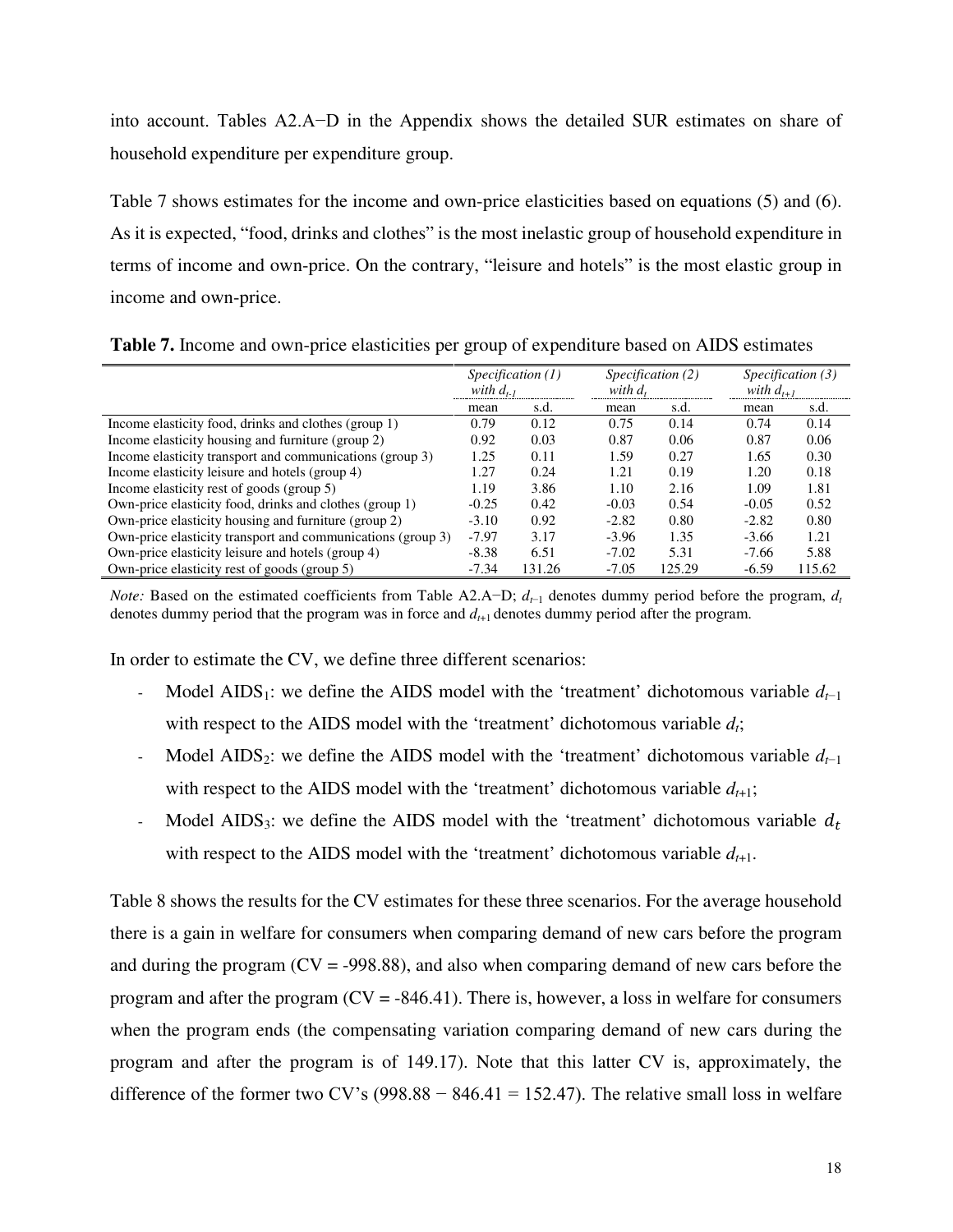into account. Tables A2.A−D in the Appendix shows the detailed SUR estimates on share of household expenditure per expenditure group.

Table 7 shows estimates for the income and own-price elasticities based on equations (5) and (6). As it is expected, "food, drinks and clothes" is the most inelastic group of household expenditure in terms of income and own-price. On the contrary, "leisure and hotels" is the most elastic group in income and own-price.

|                                                             | Specification (1)<br>with $d_{t-1}$ |        |         | Specification (2)<br>with $d_t$ |         | Specification (3) |  |
|-------------------------------------------------------------|-------------------------------------|--------|---------|---------------------------------|---------|-------------------|--|
|                                                             |                                     |        |         |                                 |         | with $d_{t+1}$    |  |
|                                                             | mean                                | s.d.   | mean    | s.d.                            | mean    | s.d.              |  |
| Income elasticity food, drinks and clothes (group 1)        | 0.79                                | 0.12   | 0.75    | 0.14                            | 0.74    | 0.14              |  |
| Income elasticity housing and furniture (group 2)           | 0.92                                | 0.03   | 0.87    | 0.06                            | 0.87    | 0.06              |  |
| Income elasticity transport and communications (group 3)    | 1.25                                | 0.11   | 1.59    | 0.27                            | 1.65    | 0.30              |  |
| Income elasticity leisure and hotels (group 4)              | 1.27                                | 0.24   | 1.21    | 0.19                            | 1.20    | 0.18              |  |
| Income elasticity rest of goods (group 5)                   | 1.19                                | 3.86   | 1.10    | 2.16                            | 1.09    | 1.81              |  |
| Own-price elasticity food, drinks and clothes (group 1)     | $-0.25$                             | 0.42   | $-0.03$ | 0.54                            | $-0.05$ | 0.52              |  |
| Own-price elasticity housing and furniture (group 2)        | $-3.10$                             | 0.92   | $-2.82$ | 0.80                            | $-2.82$ | 0.80              |  |
| Own-price elasticity transport and communications (group 3) | $-7.97$                             | 3.17   | $-3.96$ | 1.35                            | $-3.66$ | 1.21              |  |
| Own-price elasticity leisure and hotels (group 4)           | $-8.38$                             | 6.51   | $-7.02$ | 5.31                            | $-7.66$ | 5.88              |  |
| Own-price elasticity rest of goods (group 5)                | $-7.34$                             | 131.26 | $-7.05$ | 125.29                          | $-6.59$ | 115.62            |  |

**Table 7.** Income and own-price elasticities per group of expenditure based on AIDS estimates

*Note:* Based on the estimated coefficients from Table A2.A−D;  $d_{t-1}$  denotes dummy period before the program,  $d_t$ denotes dummy period that the program was in force and *d<sup>t</sup>*+1 denotes dummy period after the program.

In order to estimate the CV, we define three different scenarios:

- Model AIDS<sub>1</sub>: we define the AIDS model with the 'treatment' dichotomous variable  $d_{t-1}$ with respect to the AIDS model with the 'treatment' dichotomous variable *dt*;
- Model AIDS<sub>2</sub>: we define the AIDS model with the 'treatment' dichotomous variable  $d_{t-1}$ with respect to the AIDS model with the 'treatment' dichotomous variable  $d_{t+1}$ ;
- Model AIDS<sub>3</sub>: we define the AIDS model with the 'treatment' dichotomous variable  $d_t$ with respect to the AIDS model with the 'treatment' dichotomous variable  $d_{t+1}$ .

Table 8 shows the results for the CV estimates for these three scenarios. For the average household there is a gain in welfare for consumers when comparing demand of new cars before the program and during the program  $(CV = -998.88)$ , and also when comparing demand of new cars before the program and after the program  $(CV = -846.41)$ . There is, however, a loss in welfare for consumers when the program ends (the compensating variation comparing demand of new cars during the program and after the program is of 149.17). Note that this latter CV is, approximately, the difference of the former two CV's (998.88 – 846.41 = 152.47). The relative small loss in welfare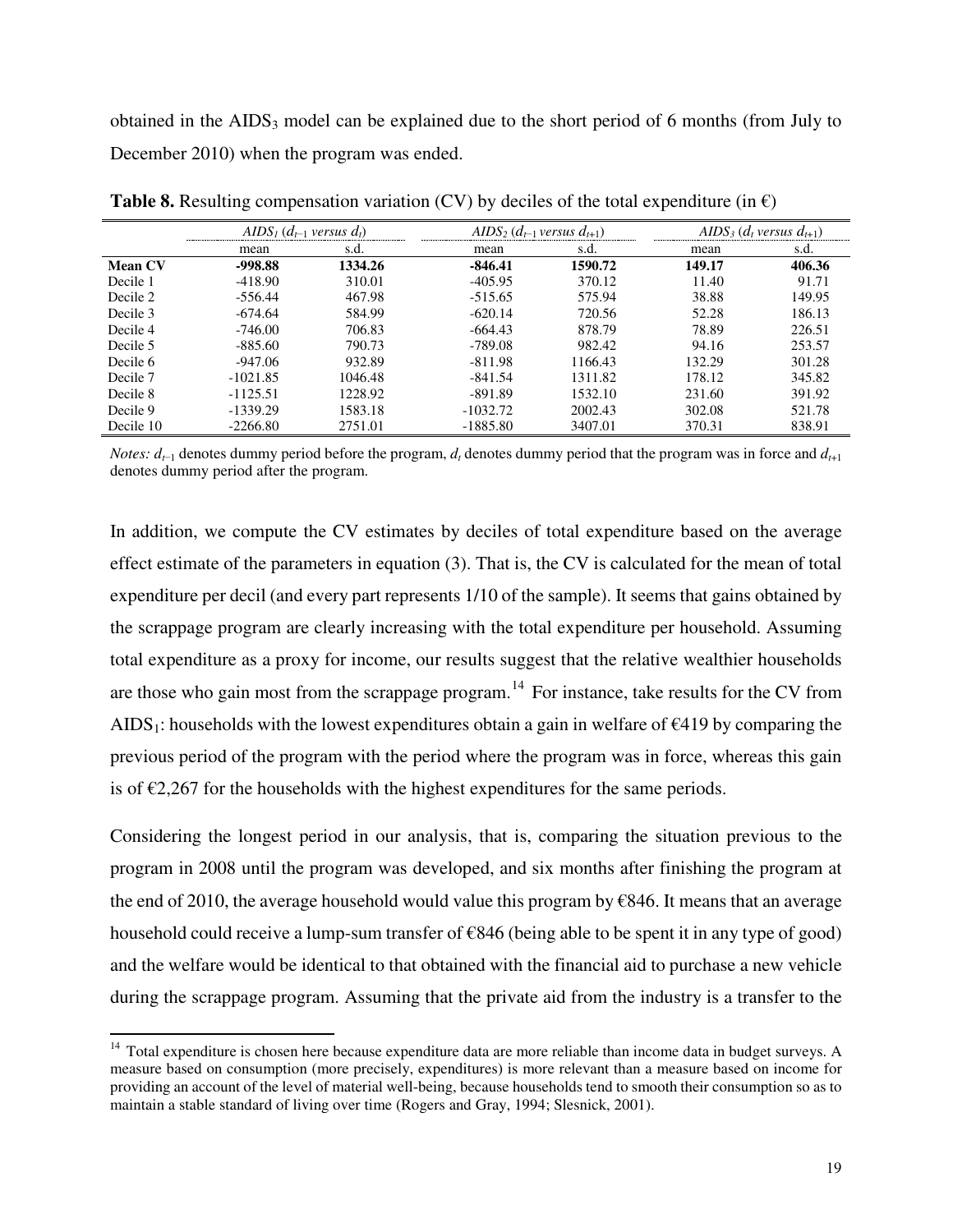obtained in the  $AIDS_3$  model can be explained due to the short period of 6 months (from July to December 2010) when the program was ended.

|                | AIDS <sub>1</sub> $(d_{t-1}$ versus $d_t$ )<br> |         |            | AIDS <sub>2</sub> $(d_{t-1}$ versus $d_{t+1}$ ) |        | AIDS <sub>3</sub> $(d_t$ versus $d_{t+1}$ ) |
|----------------|-------------------------------------------------|---------|------------|-------------------------------------------------|--------|---------------------------------------------|
|                | mean                                            | s.d.    | mean       | s.d.                                            | mean   | s.d.                                        |
| <b>Mean CV</b> | -998.88                                         | 1334.26 | $-846.41$  | 1590.72                                         | 149.17 | 406.36                                      |
| Decile 1       | $-418.90$                                       | 310.01  | $-405.95$  | 370.12                                          | 11.40  | 91.71                                       |
| Decile 2       | $-556.44$                                       | 467.98  | $-515.65$  | 575.94                                          | 38.88  | 149.95                                      |
| Decile 3       | $-674.64$                                       | 584.99  | $-620.14$  | 720.56                                          | 52.28  | 186.13                                      |
| Decile 4       | $-746.00$                                       | 706.83  | $-664.43$  | 878.79                                          | 78.89  | 226.51                                      |
| Decile 5       | $-885.60$                                       | 790.73  | $-789.08$  | 982.42                                          | 94.16  | 253.57                                      |
| Decile 6       | $-947.06$                                       | 932.89  | $-811.98$  | 1166.43                                         | 132.29 | 301.28                                      |
| Decile 7       | $-1021.85$                                      | 1046.48 | $-841.54$  | 1311.82                                         | 178.12 | 345.82                                      |
| Decile 8       | $-1125.51$                                      | 1228.92 | $-891.89$  | 1532.10                                         | 231.60 | 391.92                                      |
| Decile 9       | $-1339.29$                                      | 1583.18 | $-1032.72$ | 2002.43                                         | 302.08 | 521.78                                      |
| Decile 10      | $-2266.80$                                      | 2751.01 | $-1885.80$ | 3407.01                                         | 370.31 | 838.91                                      |

**Table 8.** Resulting compensation variation (CV) by deciles of the total expenditure (in  $\epsilon$ )

*Notes: d<sup>t</sup>*−<sup>1</sup> denotes dummy period before the program, *d<sup>t</sup>* denotes dummy period that the program was in force and *d<sup>t</sup>*+1 denotes dummy period after the program.

In addition, we compute the CV estimates by deciles of total expenditure based on the average effect estimate of the parameters in equation (3). That is, the CV is calculated for the mean of total expenditure per decil (and every part represents 1/10 of the sample). It seems that gains obtained by the scrappage program are clearly increasing with the total expenditure per household. Assuming total expenditure as a proxy for income, our results suggest that the relative wealthier households are those who gain most from the scrappage program.<sup>[14](#page-19-0)</sup> For instance, take results for the CV from AIDS<sub>1</sub>: households with the lowest expenditures obtain a gain in welfare of  $\epsilon$ 419 by comparing the previous period of the program with the period where the program was in force, whereas this gain is of  $\epsilon$ 2,267 for the households with the highest expenditures for the same periods.

Considering the longest period in our analysis, that is, comparing the situation previous to the program in 2008 until the program was developed, and six months after finishing the program at the end of 2010, the average household would value this program by  $\epsilon$ 846. It means that an average household could receive a lump-sum transfer of  $\epsilon$ 846 (being able to be spent it in any type of good) and the welfare would be identical to that obtained with the financial aid to purchase a new vehicle during the scrappage program. Assuming that the private aid from the industry is a transfer to the

 $\overline{a}$ 

<span id="page-19-0"></span> $14$  Total expenditure is chosen here because expenditure data are more reliable than income data in budget surveys. A measure based on consumption (more precisely, expenditures) is more relevant than a measure based on income for providing an account of the level of material well-being, because households tend to smooth their consumption so as to maintain a stable standard of living over time (Rogers and Gray, 1994; Slesnick, 2001).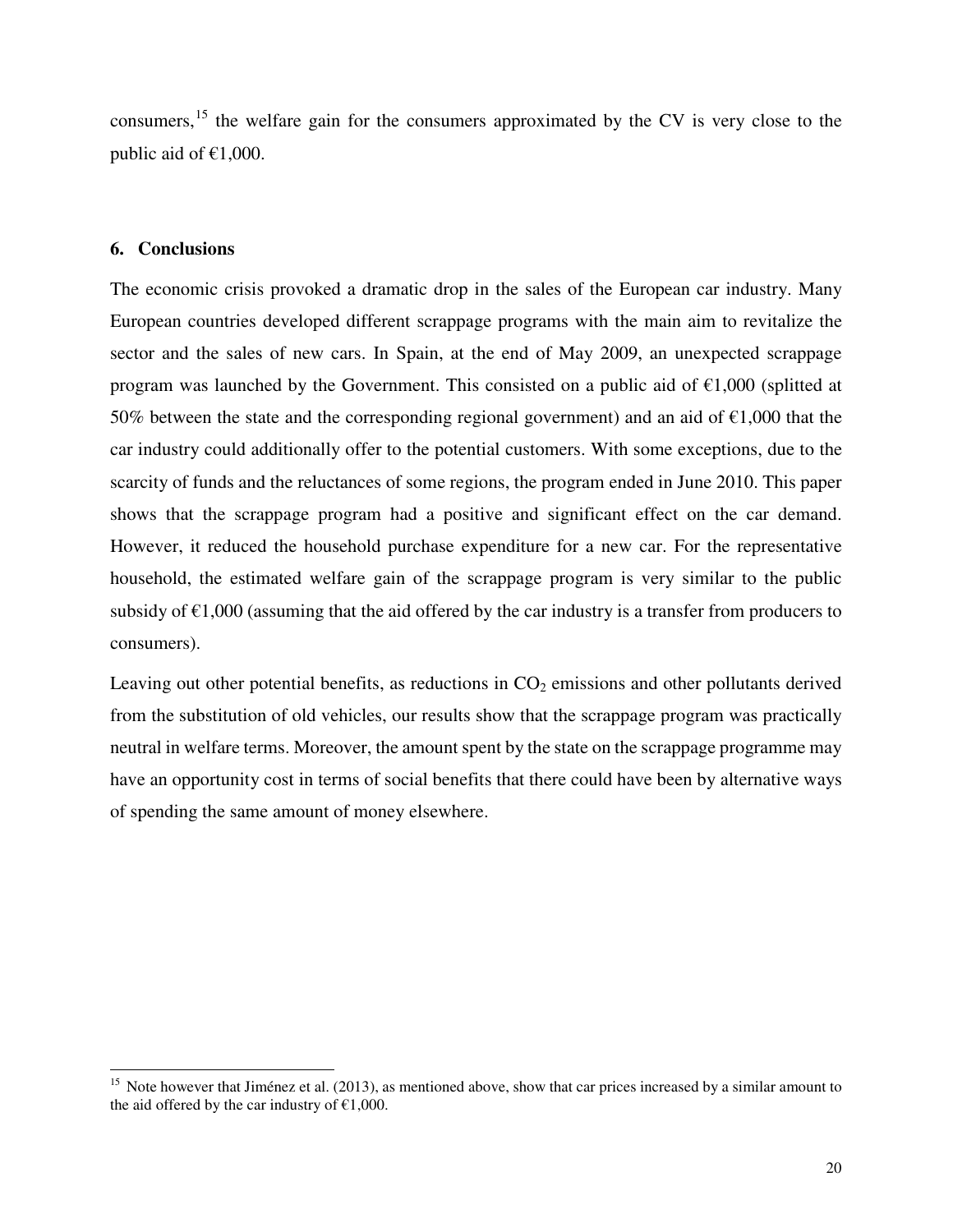consumers,[15](#page-20-0) the welfare gain for the consumers approximated by the CV is very close to the public aid of  $£1,000$ .

#### **6. Conclusions**

 $\overline{a}$ 

The economic crisis provoked a dramatic drop in the sales of the European car industry. Many European countries developed different scrappage programs with the main aim to revitalize the sector and the sales of new cars. In Spain, at the end of May 2009, an unexpected scrappage program was launched by the Government. This consisted on a public aid of  $\epsilon$ 1,000 (splitted at 50% between the state and the corresponding regional government) and an aid of  $\epsilon$ 1,000 that the car industry could additionally offer to the potential customers. With some exceptions, due to the scarcity of funds and the reluctances of some regions, the program ended in June 2010. This paper shows that the scrappage program had a positive and significant effect on the car demand. However, it reduced the household purchase expenditure for a new car. For the representative household, the estimated welfare gain of the scrappage program is very similar to the public subsidy of  $\epsilon$ 1,000 (assuming that the aid offered by the car industry is a transfer from producers to consumers).

Leaving out other potential benefits, as reductions in  $CO<sub>2</sub>$  emissions and other pollutants derived from the substitution of old vehicles, our results show that the scrappage program was practically neutral in welfare terms. Moreover, the amount spent by the state on the scrappage programme may have an opportunity cost in terms of social benefits that there could have been by alternative ways of spending the same amount of money elsewhere.

<span id="page-20-0"></span><sup>&</sup>lt;sup>15</sup> Note however that Jiménez et al.  $(2013)$ , as mentioned above, show that car prices increased by a similar amount to the aid offered by the car industry of  $£1,000$ .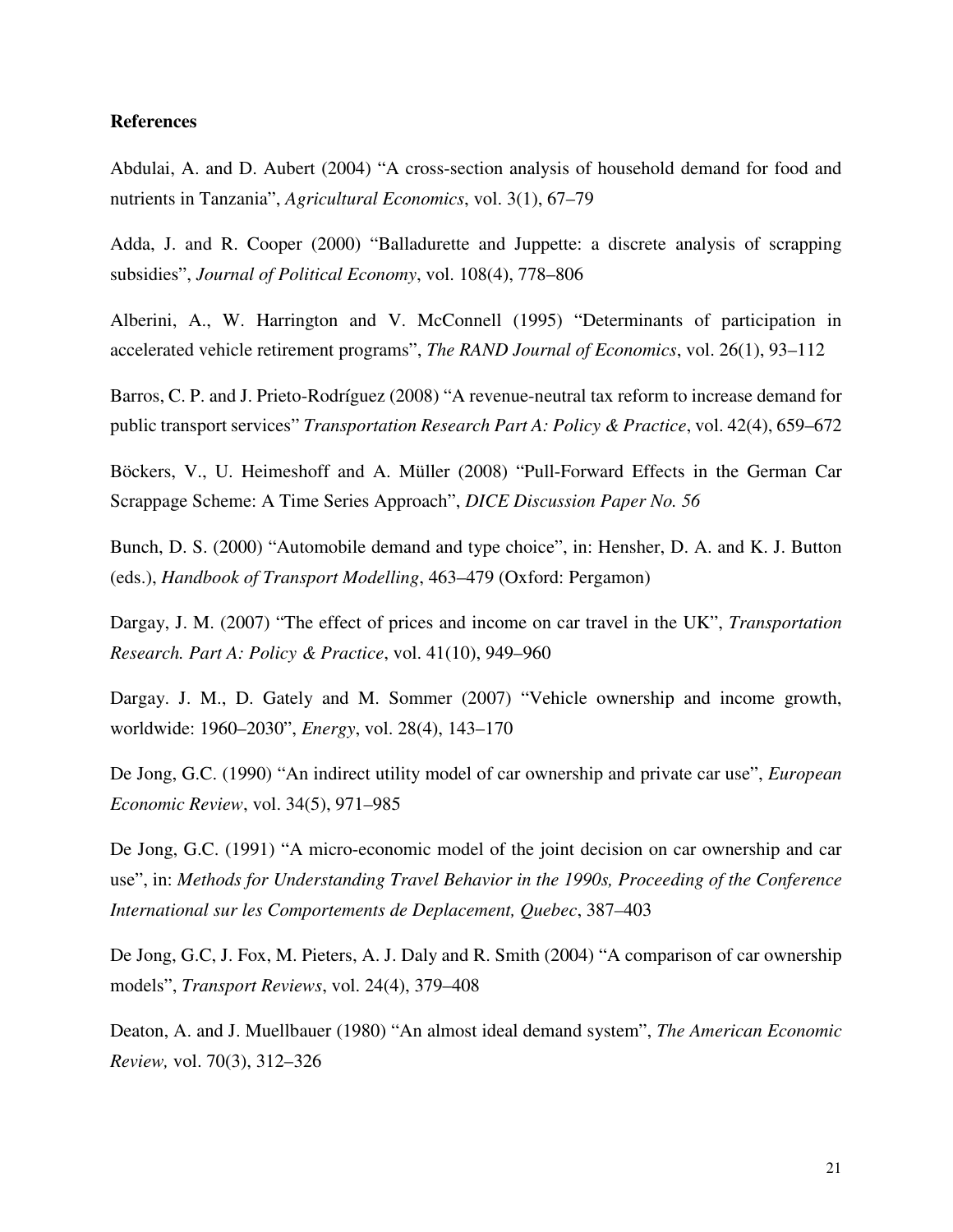#### **References**

Abdulai, A. and D. Aubert (2004) "A cross-section analysis of household demand for food and nutrients in Tanzania", *Agricultural Economics*, vol. 3(1), 67–79

Adda, J. and R. Cooper (2000) "Balladurette and Juppette: a discrete analysis of scrapping subsidies", *Journal of Political Economy*, vol. 108(4), 778–806

Alberini, A., W. Harrington and V. McConnell (1995) "Determinants of participation in accelerated vehicle retirement programs", *The RAND Journal of Economics*, vol. 26(1), 93–112

Barros, C. P. and J. Prieto-Rodríguez (2008) "A revenue-neutral tax reform to increase demand for public transport services" *Transportation Research Part A: Policy & Practice*, vol. 42(4), 659–672

Böckers, V., U. Heimeshoff and A. Müller (2008) "Pull-Forward Effects in the German Car Scrappage Scheme: A Time Series Approach", *DICE Discussion Paper No. 56*

Bunch, D. S. (2000) "Automobile demand and type choice", in: Hensher, D. A. and K. J. Button (eds.), *Handbook of Transport Modelling*, 463–479 (Oxford: Pergamon)

Dargay, J. M. (2007) "The effect of prices and income on car travel in the UK", *Transportation Research. Part A: Policy & Practice*, vol. 41(10), 949–960

Dargay. J. M., D. Gately and M. Sommer (2007) "Vehicle ownership and income growth, worldwide: 1960–2030", *Energy*, vol. 28(4), 143–170

De Jong, G.C. (1990) "An indirect utility model of car ownership and private car use", *European Economic Review*, vol. 34(5), 971*–*985

De Jong, G.C. (1991) "A micro-economic model of the joint decision on car ownership and car use", in: *Methods for Understanding Travel Behavior in the 1990s, Proceeding of the Conference International sur les Comportements de Deplacement, Quebec*, 387*–*403

De Jong, G.C, J. Fox, M. Pieters, A. J. Daly and R. Smith (2004) "A comparison of car ownership models", *Transport Reviews*, vol. 24(4), 379–408

Deaton, A. and J. Muellbauer (1980) "An almost ideal demand system", *The American Economic Review,* vol. 70(3), 312–326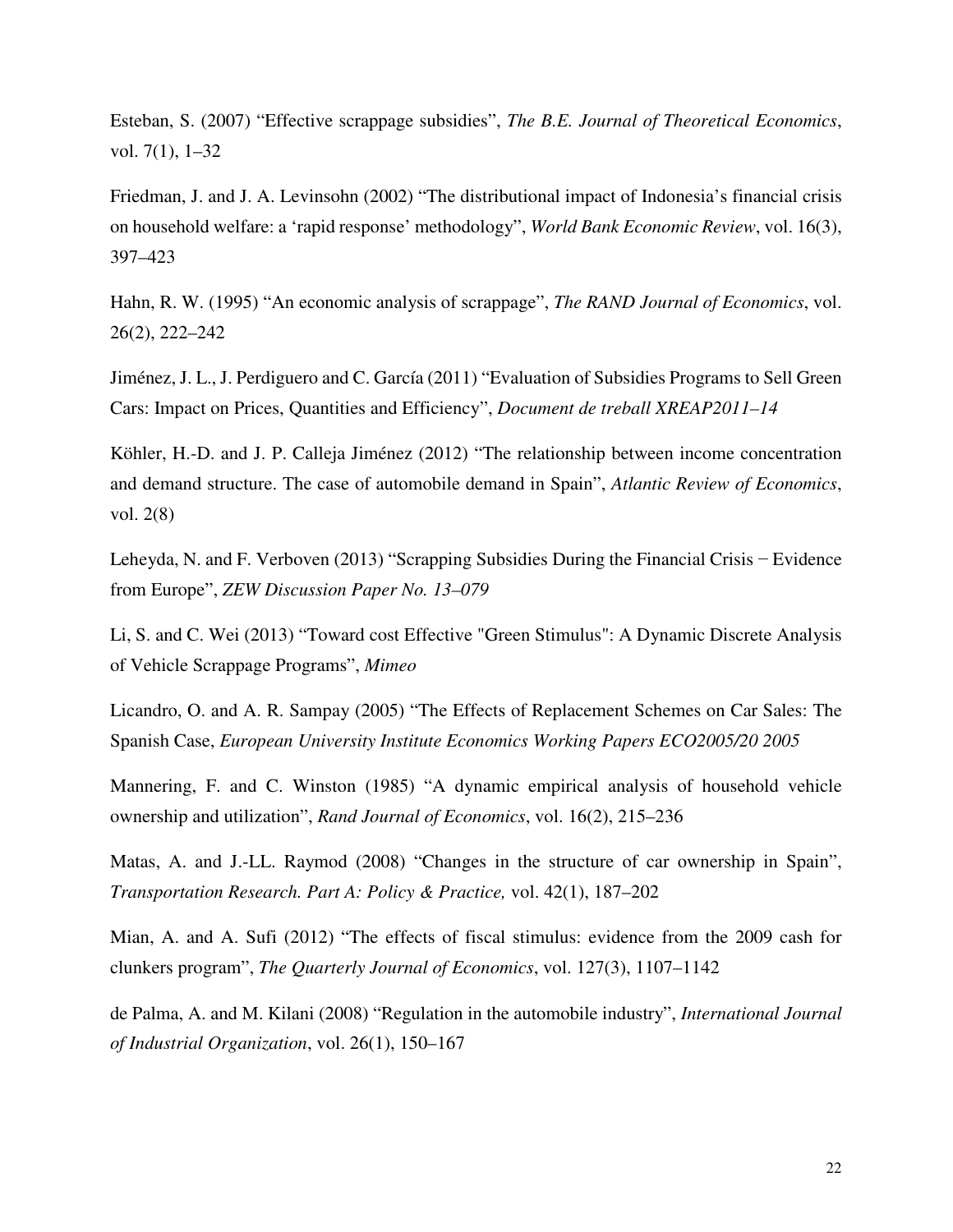Esteban, S. (2007) "Effective scrappage subsidies", *The B.E. Journal of Theoretical Economics*, vol. 7(1), 1–32

Friedman, J. and J. A. Levinsohn (2002) "The distributional impact of Indonesia's financial crisis on household welfare: a 'rapid response' methodology", *World Bank Economic Review*, vol. 16(3), 397–423

Hahn, R. W. (1995) "An economic analysis of scrappage", *The RAND Journal of Economics*, vol. 26(2), 222–242

Jiménez, J. L., J. Perdiguero and C. García (2011) "Evaluation of Subsidies Programs to Sell Green Cars: Impact on Prices, Quantities and Efficiency", *Document de treball XREAP2011–14* 

Köhler, H.-D. and J. P. Calleja Jiménez (2012) "The relationship between income concentration and demand structure. The case of automobile demand in Spain", *Atlantic Review of Economics*, vol. 2(8)

Leheyda, N. and F. Verboven (2013) "Scrapping Subsidies During the Financial Crisis − Evidence from Europe", *ZEW Discussion Paper No. 13–079* 

Li, S. and C. Wei (2013) "Toward cost Effective "Green Stimulus": A Dynamic Discrete Analysis of Vehicle Scrappage Programs", *Mimeo*

Licandro, O. and A. R. Sampay (2005) "The Effects of Replacement Schemes on Car Sales: The Spanish Case, *European University Institute Economics Working Papers ECO2005/20 2005* 

Mannering, F. and C. Winston (1985) "A dynamic empirical analysis of household vehicle ownership and utilization", *Rand Journal of Economics*, vol. 16(2), 215–236

Matas, A. and J.-LL. Raymod (2008) "Changes in the structure of car ownership in Spain", *Transportation Research. Part A: Policy & Practice,* vol. 42(1), 187–202

Mian, A. and A. Sufi (2012) "The effects of fiscal stimulus: evidence from the 2009 cash for clunkers program", *The Quarterly Journal of Economics*, vol. 127(3), 1107–1142

de Palma, A. and M. Kilani (2008) "Regulation in the automobile industry", *International Journal of Industrial Organization*, vol. 26(1), 150–167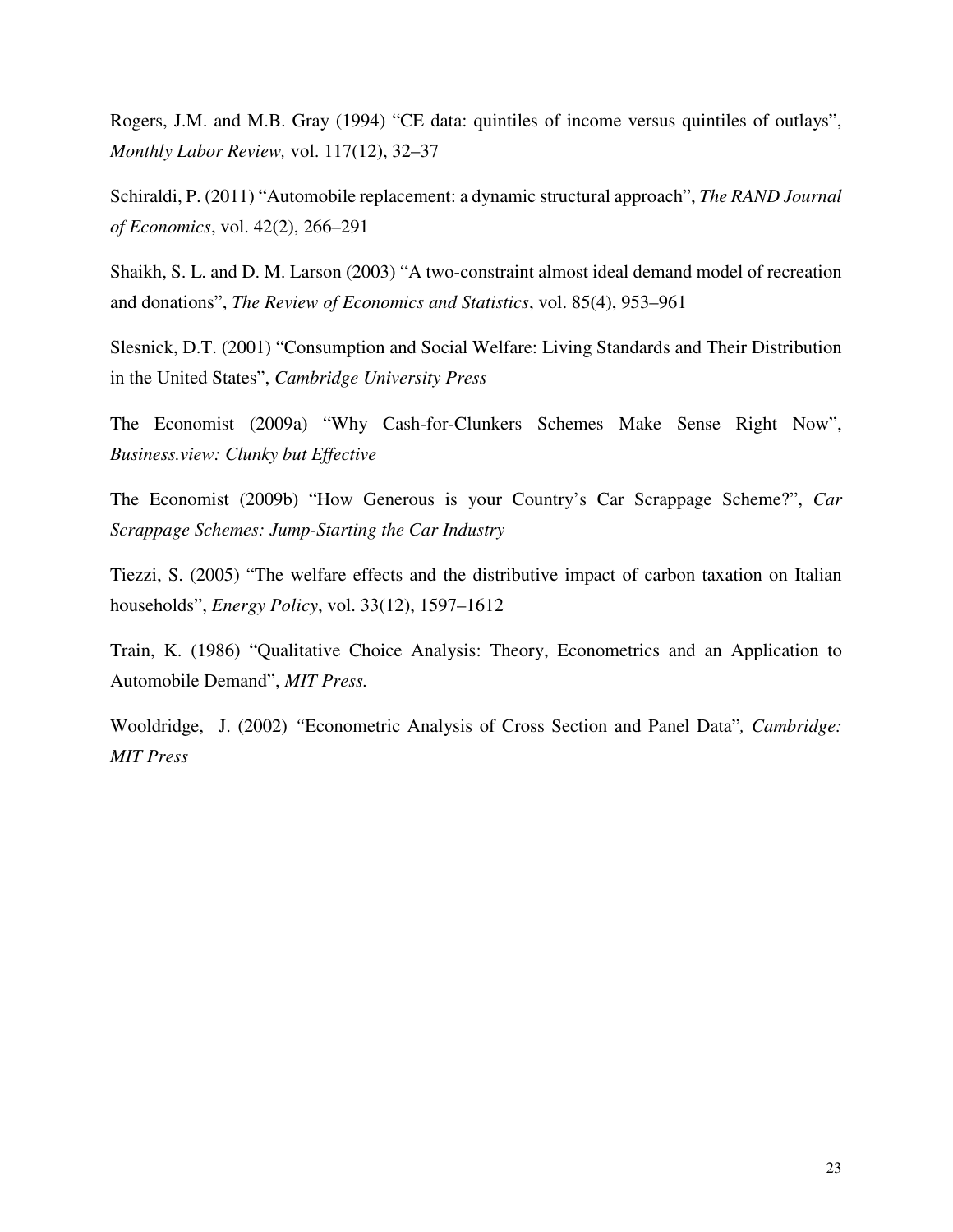Rogers, J.M. and M.B. Gray (1994) "CE data: quintiles of income versus quintiles of outlays", *Monthly Labor Review,* vol. 117(12), 32–37

Schiraldi, P. (2011) "Automobile replacement: a dynamic structural approach", *The RAND Journal of Economics*, vol. 42(2), 266–291

Shaikh, S. L. and D. M. Larson (2003) "A two-constraint almost ideal demand model of recreation and donations", *The Review of Economics and Statistics*, vol. 85(4), 953–961

Slesnick, D.T. (2001) "Consumption and Social Welfare: Living Standards and Their Distribution in the United States", *Cambridge University Press*

The Economist (2009a) "Why Cash-for-Clunkers Schemes Make Sense Right Now", *Business.view: Clunky but Effective*

The Economist (2009b) "How Generous is your Country's Car Scrappage Scheme?", *Car Scrappage Schemes: Jump-Starting the Car Industry* 

Tiezzi, S. (2005) "The welfare effects and the distributive impact of carbon taxation on Italian households", *Energy Policy*, vol. 33(12), 1597–1612

Train, K. (1986) "Qualitative Choice Analysis: Theory, Econometrics and an Application to Automobile Demand", *MIT Press.* 

Wooldridge, J. (2002) *"*Econometric Analysis of Cross Section and Panel Data"*, Cambridge: MIT Press*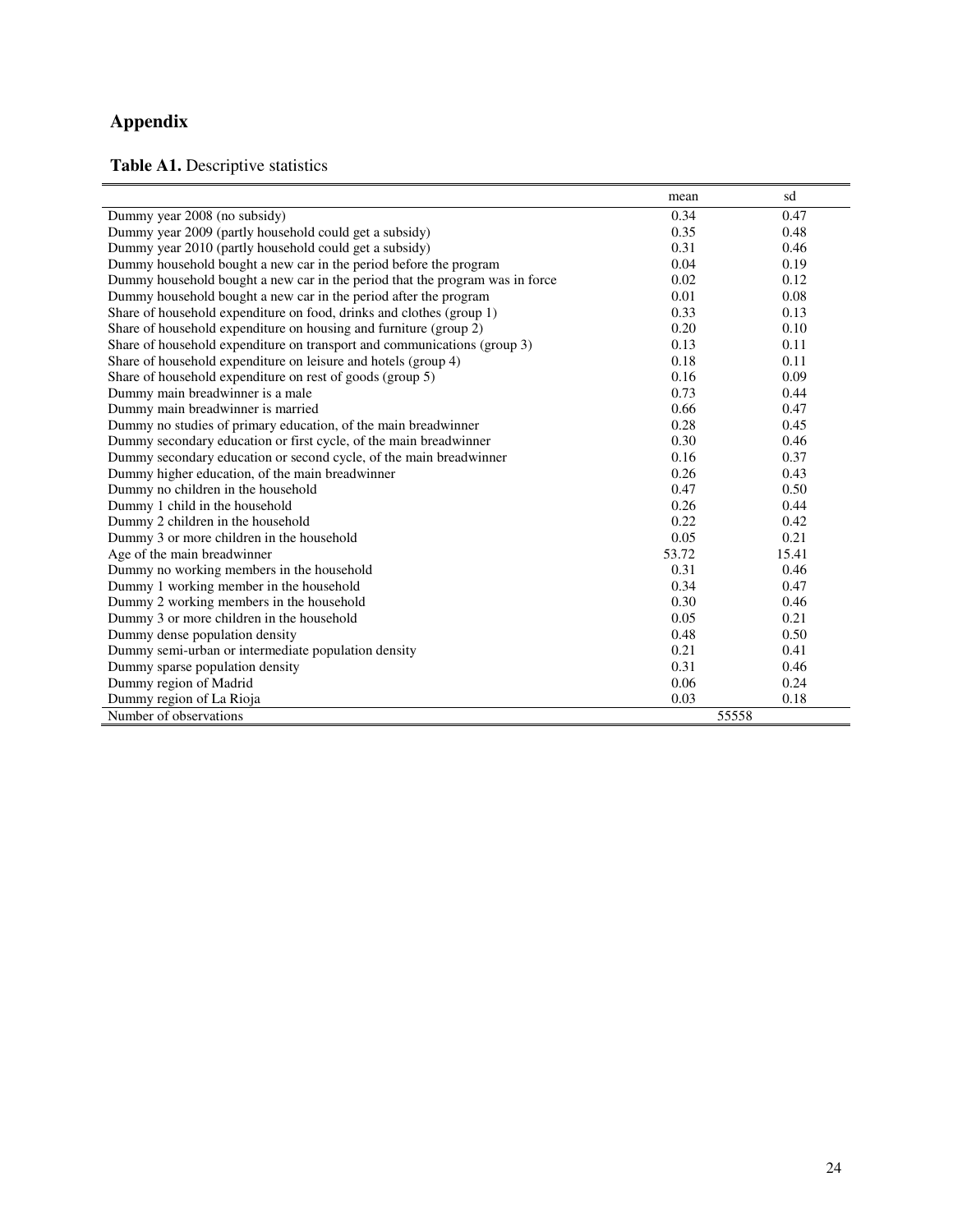### **Appendix**

**Table A1.** Descriptive statistics

|                                                                              | mean  | sd    |
|------------------------------------------------------------------------------|-------|-------|
| Dummy year 2008 (no subsidy)                                                 | 0.34  | 0.47  |
| Dummy year 2009 (partly household could get a subsidy)                       | 0.35  | 0.48  |
| Dummy year 2010 (partly household could get a subsidy)                       | 0.31  | 0.46  |
| Dummy household bought a new car in the period before the program            | 0.04  | 0.19  |
| Dummy household bought a new car in the period that the program was in force | 0.02  | 0.12  |
| Dummy household bought a new car in the period after the program             | 0.01  | 0.08  |
| Share of household expenditure on food, drinks and clothes (group 1)         | 0.33  | 0.13  |
| Share of household expenditure on housing and furniture (group 2)            | 0.20  | 0.10  |
| Share of household expenditure on transport and communications (group 3)     | 0.13  | 0.11  |
| Share of household expenditure on leisure and hotels (group 4)               | 0.18  | 0.11  |
| Share of household expenditure on rest of goods (group 5)                    | 0.16  | 0.09  |
| Dummy main breadwinner is a male                                             | 0.73  | 0.44  |
| Dummy main breadwinner is married                                            | 0.66  | 0.47  |
| Dummy no studies of primary education, of the main breadwinner               | 0.28  | 0.45  |
| Dummy secondary education or first cycle, of the main breadwinner            | 0.30  | 0.46  |
| Dummy secondary education or second cycle, of the main breadwinner           | 0.16  | 0.37  |
| Dummy higher education, of the main breadwinner                              | 0.26  | 0.43  |
| Dummy no children in the household                                           | 0.47  | 0.50  |
| Dummy 1 child in the household                                               | 0.26  | 0.44  |
| Dummy 2 children in the household                                            | 0.22  | 0.42  |
| Dummy 3 or more children in the household                                    | 0.05  | 0.21  |
| Age of the main breadwinner                                                  | 53.72 | 15.41 |
| Dummy no working members in the household                                    | 0.31  | 0.46  |
| Dummy 1 working member in the household                                      | 0.34  | 0.47  |
| Dummy 2 working members in the household                                     | 0.30  | 0.46  |
| Dummy 3 or more children in the household                                    | 0.05  | 0.21  |
| Dummy dense population density                                               | 0.48  | 0.50  |
| Dummy semi-urban or intermediate population density                          | 0.21  | 0.41  |
| Dummy sparse population density                                              | 0.31  | 0.46  |
| Dummy region of Madrid                                                       | 0.06  | 0.24  |
| Dummy region of La Rioja                                                     | 0.03  | 0.18  |
| Number of observations                                                       | 55558 |       |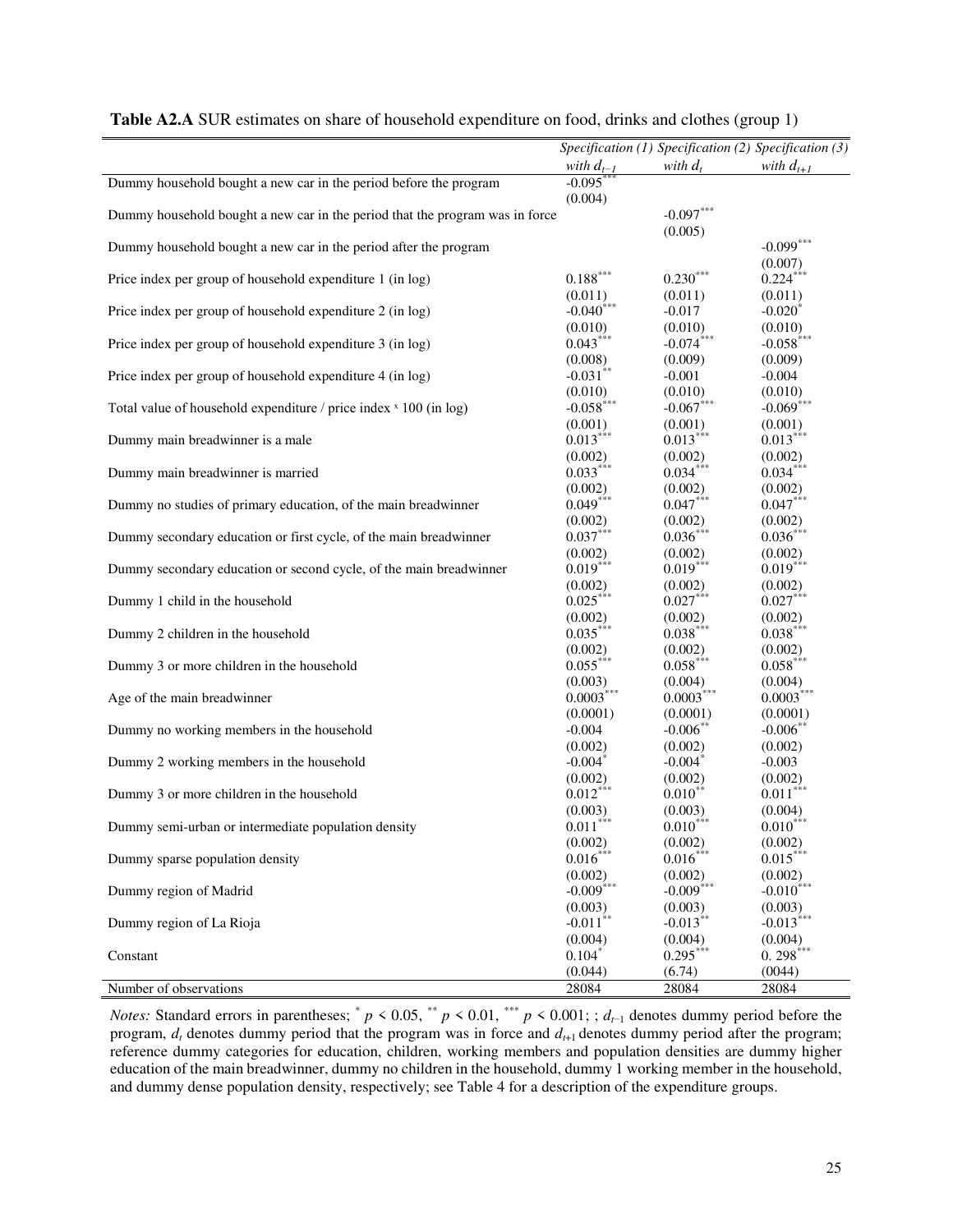|                                                                              |                                         |                         | Specification (1) Specification (2) Specification (3) |
|------------------------------------------------------------------------------|-----------------------------------------|-------------------------|-------------------------------------------------------|
|                                                                              |                                         | with $d_t$              | with $d_{t+1}$                                        |
| Dummy household bought a new car in the period before the program            | with $d_{t-1}$<br>-0.095 <sup>***</sup> |                         |                                                       |
|                                                                              | (0.004)                                 |                         |                                                       |
| Dummy household bought a new car in the period that the program was in force |                                         | $-0.097***$             |                                                       |
|                                                                              |                                         | (0.005)                 |                                                       |
| Dummy household bought a new car in the period after the program             |                                         |                         | $-0.099$ ***                                          |
|                                                                              |                                         |                         | (0.007)                                               |
| Price index per group of household expenditure 1 (in log)                    | $0.188^{\ast\ast\ast}$                  | $0.230***$              | $0.224***$                                            |
|                                                                              |                                         |                         |                                                       |
|                                                                              | (0.011)<br>$-0.040$ <sup>***</sup>      | (0.011)<br>$-0.017$     | (0.011)<br>$-0.020*$                                  |
| Price index per group of household expenditure 2 (in log)                    |                                         |                         |                                                       |
|                                                                              | (0.010)<br>$0.043***$                   | $(0.010)$<br>-0.074***  | (0.010)<br>$-0.058***$                                |
| Price index per group of household expenditure 3 (in log)                    |                                         |                         |                                                       |
|                                                                              | (0.008)                                 | (0.009)                 | (0.009)                                               |
| Price index per group of household expenditure 4 (in log)                    | $-0.031$ **                             | $-0.001$                | $-0.004$                                              |
|                                                                              | (0.010)                                 | (0.010)                 | $(0.010)$<br>-0.069 <sup>***</sup>                    |
| Total value of household expenditure / price index × 100 (in log)            | $-0.058$ <sup>***</sup>                 | $-0.067$ ***            |                                                       |
|                                                                              | (0.001)                                 | (0.001)                 | (0.001)                                               |
| Dummy main breadwinner is a male                                             | $0.013***$                              | $0.013***$              | $0.013***$                                            |
|                                                                              | (0.002)                                 | (0.002)                 | (0.002)                                               |
| Dummy main breadwinner is married                                            | $0.033***$                              | $0.034***$              | $0.034***$                                            |
|                                                                              | (0.002)                                 | (0.002)                 | (0.002)                                               |
| Dummy no studies of primary education, of the main breadwinner               | $0.049***$                              | $0.047***$              | $0.047***$                                            |
|                                                                              |                                         | (0.002)                 | (0.002)                                               |
| Dummy secondary education or first cycle, of the main breadwinner            | $(0.002)$<br>$0.037***$                 | $0.036***$              | $0.036***$                                            |
|                                                                              | (0.002)                                 | (0.002)                 | (0.002)                                               |
| Dummy secondary education or second cycle, of the main breadwinner           | $0.019***$                              | $0.019***$              | $0.019***$                                            |
|                                                                              | (0.002)                                 | (0.002)                 | (0.002)                                               |
| Dummy 1 child in the household                                               | $0.025***$                              | $0.027***$              | $0.027***$                                            |
|                                                                              |                                         |                         | (0.002)                                               |
| Dummy 2 children in the household                                            | $(0.002)$<br>$0.035***$                 | $(0.002)$<br>$0.038***$ | $0.038***$                                            |
|                                                                              |                                         |                         |                                                       |
|                                                                              | (0.002)<br>$0.055***$                   | (0.002)<br>$0.058***$   | (0.002)<br>$0.058***$                                 |
| Dummy 3 or more children in the household                                    |                                         |                         |                                                       |
|                                                                              | (0.003)<br>$0.0003***$                  | (0.004)<br>$0.0003***$  | $(0.004)$<br>$0.0003***$                              |
| Age of the main breadwinner                                                  |                                         |                         |                                                       |
|                                                                              | (0.0001)                                | (0.0001)                | (0.0001)                                              |
| Dummy no working members in the household                                    | $-0.004$                                | $-0.006$ **             | $-0.006$ **                                           |
|                                                                              | (0.002)                                 | (0.002)                 | (0.002)                                               |
| Dummy 2 working members in the household                                     | $-0.004$ <sup>*</sup>                   | $-0.004$ *              | $-0.003$                                              |
|                                                                              | (0.002)                                 | (0.002)                 | (0.002)                                               |
| Dummy 3 or more children in the household                                    | $0.012***$                              | $0.010***$              | $0.011***$                                            |
|                                                                              | (0.003)                                 | (0.003)                 | (0.004)                                               |
| Dummy semi-urban or intermediate population density                          | $0.011***$                              | $0.010***$              | $0.010***$                                            |
|                                                                              | (0.002)                                 | (0.002)                 | (0.002)                                               |
| Dummy sparse population density                                              | $0.016***$                              | $0.016***$              | $0.015***$                                            |
|                                                                              | (0.002)                                 | (0.002)                 | (0.002)                                               |
| Dummy region of Madrid                                                       | $-0.009$ ***                            | $-0.009$ <sup>***</sup> | $-0.010$ <sup>***</sup>                               |
|                                                                              | (0.003)                                 | (0.003)                 | (0.003)                                               |
| Dummy region of La Rioja                                                     | $-0.011$ **                             | $-0.013***$             | $-0.013$ ***                                          |
|                                                                              | (0.004)                                 | (0.004)                 | (0.004)                                               |
| Constant                                                                     | $0.104*$                                | $0.295***$              | $0.298***$                                            |
|                                                                              | (0.044)                                 | (6.74)                  | (0044)                                                |
| Number of observations                                                       | 28084                                   | 28084                   | 28084                                                 |
|                                                                              |                                         |                         |                                                       |

| Table A2.A SUR estimates on share of household expenditure on food, drinks and clothes (group 1) |  |  |
|--------------------------------------------------------------------------------------------------|--|--|
|--------------------------------------------------------------------------------------------------|--|--|

*Notes:* Standard errors in parentheses;  $p < 0.05$ ,  $p < 0.01$ ,  $p < 0.001$ ; *d*<sub>t-1</sub> denotes dummy period before the program,  $d_t$  denotes dummy period that the program was in force and  $d_{t+1}$  denotes dummy period after the program; reference dummy categories for education, children, working members and population densities are dummy higher education of the main breadwinner, dummy no children in the household, dummy 1 working member in the household, and dummy dense population density, respectively; see Table 4 for a description of the expenditure groups.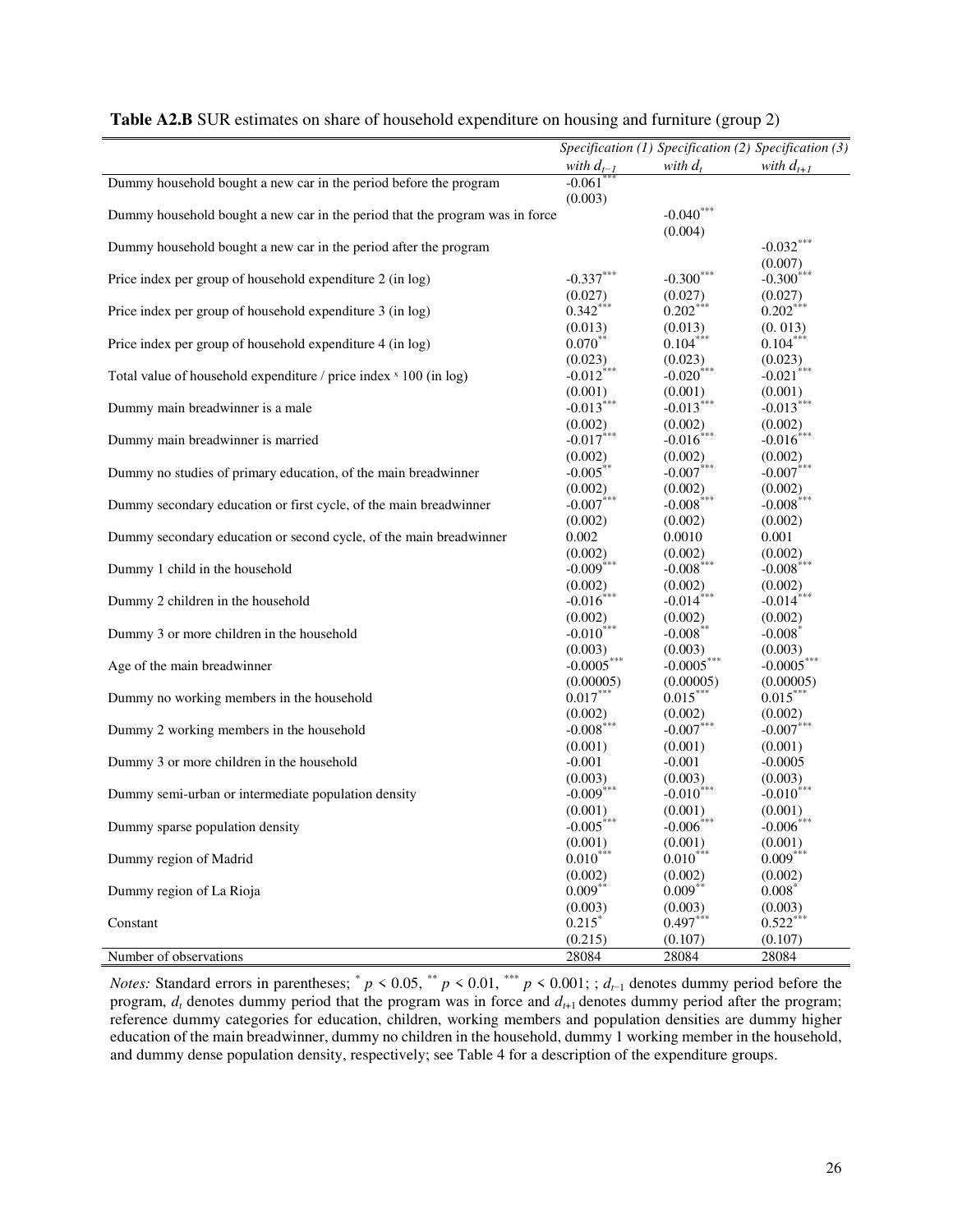|                                                                              |                                         | Specification (1) Specification (2) Specification (3)   |                                    |
|------------------------------------------------------------------------------|-----------------------------------------|---------------------------------------------------------|------------------------------------|
|                                                                              |                                         | with $d_t$                                              | with $d_{t+1}$                     |
| Dummy household bought a new car in the period before the program            | with $d_{t-1}$<br>-0.061 <sup>***</sup> |                                                         |                                    |
|                                                                              | (0.003)                                 |                                                         |                                    |
| Dummy household bought a new car in the period that the program was in force |                                         | $-0.040$ ***                                            |                                    |
|                                                                              |                                         | (0.004)                                                 |                                    |
| Dummy household bought a new car in the period after the program             |                                         |                                                         | $-0.032***$                        |
|                                                                              |                                         |                                                         | (0.007)                            |
| Price index per group of household expenditure 2 (in log)                    | $-0.337***$                             | $-0.300***$                                             | $-0.300$ <sup>***</sup>            |
|                                                                              | (0.027)                                 | (0.027)                                                 |                                    |
| Price index per group of household expenditure 3 (in log)                    | $0.342***$                              | $0.202***$                                              | $(0.027)$<br>$0.202***$            |
|                                                                              | (0.013)                                 | (0.013)                                                 | (0.013)                            |
| Price index per group of household expenditure 4 (in log)                    | $0.070**$                               | $0.104***$                                              | $0.104***$                         |
|                                                                              | (0.023)                                 | (0.023)                                                 | (0.023)                            |
| Total value of household expenditure / price index × 100 (in log)            | $-0.012$ ***                            | $-0.020$ ***                                            | $-0.021$ ***                       |
|                                                                              | (0.001)                                 |                                                         |                                    |
| Dummy main breadwinner is a male                                             | $-0.013$ ***                            | $(0.001)$<br>-0.013 <sup>***</sup>                      | $(0.001)$<br>-0.013 <sup>***</sup> |
|                                                                              | (0.002)                                 |                                                         |                                    |
| Dummy main breadwinner is married                                            | $-0.017***$                             | $(0.002)$<br>-0.016 <sup>***</sup>                      | $(0.002)$<br>-0.016 <sup>***</sup> |
|                                                                              | (0.002)                                 | (0.002)                                                 | (0.002)                            |
| Dummy no studies of primary education, of the main breadwinner               | $-0.005***$                             | $-0.007$ ***                                            | $-0.007***$                        |
|                                                                              | (0.002)                                 |                                                         |                                    |
| Dummy secondary education or first cycle, of the main breadwinner            | $-0.007$ ***                            | (0.002)<br>$-0.008***$                                  | $(0.002)$<br>-0.008***             |
|                                                                              |                                         |                                                         |                                    |
| Dummy secondary education or second cycle, of the main breadwinner           | (0.002)<br>0.002                        | (0.002)<br>0.0010                                       | (0.002)<br>0.001                   |
|                                                                              |                                         |                                                         |                                    |
|                                                                              | $(0.002)$<br>-0.009 <sup>***</sup>      | $\begin{array}{c} (0.002) \\ \text{-}0.008 \end{array}$ | (0.002)<br>$-0.008$ ***            |
| Dummy 1 child in the household                                               | (0.002)                                 |                                                         |                                    |
| Dummy 2 children in the household                                            | $-0.016$ ***                            | (0.002)<br>$-0.014$ ***                                 | (0.002)<br>$-0.014$ ***            |
|                                                                              |                                         |                                                         |                                    |
|                                                                              | (0.002)<br>$-0.010$ ***                 | (0.002)<br>$-0.008**$                                   | (0.002)<br>$-0.008*$               |
| Dummy 3 or more children in the household                                    |                                         |                                                         |                                    |
| Age of the main breadwinner                                                  | (0.003)<br>$-0.0005***$                 | (0.003)<br>$-0.0005***$                                 | (0.003)<br>$-0.0005***$            |
|                                                                              |                                         |                                                         |                                    |
| Dummy no working members in the household                                    | (0.00005)<br>$0.017***$                 | (0.00005)<br>$0.015***$                                 | (0.00005)<br>$0.015***$            |
|                                                                              |                                         |                                                         |                                    |
|                                                                              | (0.002)<br>$-0.008$ ***                 | (0.002)<br>$-0.007***$                                  | (0.002)<br>$-0.007***$             |
| Dummy 2 working members in the household                                     | (0.001)                                 | (0.001)                                                 | (0.001)                            |
|                                                                              | $-0.001$                                | $-0.001$                                                | $-0.0005$                          |
| Dummy 3 or more children in the household                                    |                                         |                                                         |                                    |
| Dummy semi-urban or intermediate population density                          | $(0.003)$<br>-0.009 <sup>***</sup>      | $(0.003)$<br>-0.010 <sup>***</sup>                      | (0.003)<br>$-0.010$ <sup>***</sup> |
|                                                                              |                                         |                                                         |                                    |
|                                                                              | $(0.001)$<br>-0.005***                  | $(0.001)$<br>-0.006***                                  | $(0.001)$<br>-0.006***             |
| Dummy sparse population density                                              |                                         |                                                         |                                    |
|                                                                              | (0.001)<br>$0.010***$                   | (0.001)<br>$0.010***$                                   | (0.001)<br>$0.009***$              |
| Dummy region of Madrid                                                       |                                         |                                                         |                                    |
|                                                                              | (0.002)                                 | (0.002)                                                 | (0.002)                            |
| Dummy region of La Rioja                                                     | $0.009***$                              | $0.009***$                                              | $0.008*$                           |
|                                                                              | (0.003)                                 | (0.003)                                                 | (0.003)                            |
| Constant                                                                     | $0.215$ *                               | $0.497***$                                              | $0.522***$                         |
|                                                                              | (0.215)                                 | (0.107)                                                 | (0.107)                            |
| Number of observations                                                       | 28084                                   | 28084                                                   | 28084                              |

*Notes:* Standard errors in parentheses;  $p < 0.05$ ,  $p < 0.01$ ,  $p < 0.001$ ; *d*<sub>t-1</sub> denotes dummy period before the program,  $d_t$  denotes dummy period that the program was in force and  $d_{t+1}$  denotes dummy period after the program; reference dummy categories for education, children, working members and population densities are dummy higher education of the main breadwinner, dummy no children in the household, dummy 1 working member in the household, and dummy dense population density, respectively; see Table 4 for a description of the expenditure groups.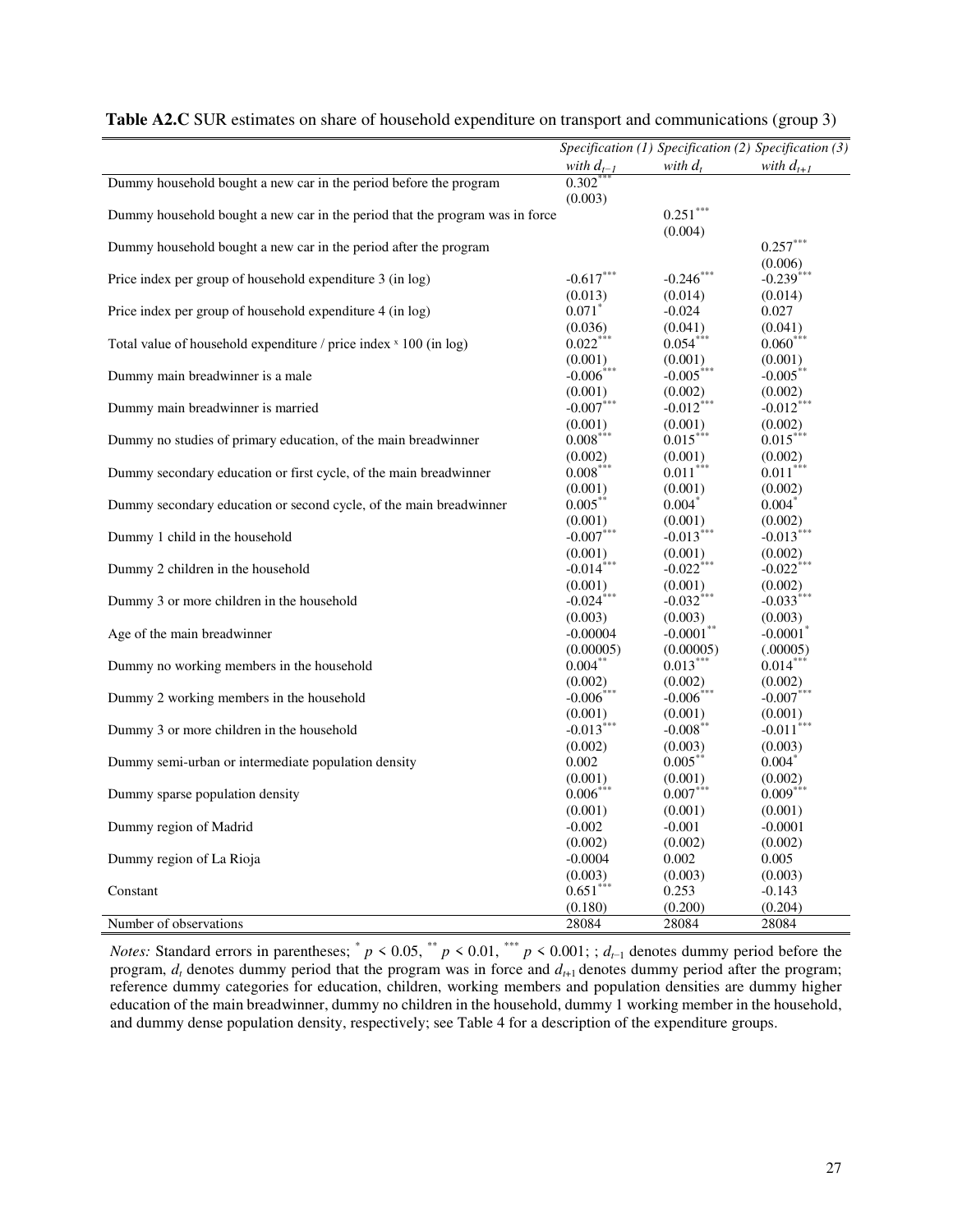|                                                                              |                         | Specification $(1)$ Specification $(2)$ Specification $(3)$ |                        |
|------------------------------------------------------------------------------|-------------------------|-------------------------------------------------------------|------------------------|
|                                                                              | with $d_{t-1}$          | with $d_t$                                                  | with $d_{t+1}$         |
| Dummy household bought a new car in the period before the program            | $0.302$ *               |                                                             |                        |
|                                                                              | (0.003)                 |                                                             |                        |
| Dummy household bought a new car in the period that the program was in force |                         | $0.251***$                                                  |                        |
|                                                                              |                         | (0.004)                                                     |                        |
| Dummy household bought a new car in the period after the program             |                         |                                                             | $0.257***$             |
|                                                                              |                         |                                                             | (0.006)                |
| Price index per group of household expenditure 3 (in log)                    | $-0.617***$             | $-0.246$ ***                                                | $-0.239***$            |
|                                                                              | (0.013)                 | (0.014)                                                     | (0.014)                |
| Price index per group of household expenditure 4 (in log)                    | $0.071$ <sup>*</sup>    | $-0.024$                                                    | 0.027                  |
|                                                                              | (0.036)                 | (0.041)                                                     | (0.041)                |
| Total value of household expenditure / price index × 100 (in log)            | $0.022***$              | $0.054***$                                                  | $0.060***$             |
|                                                                              | (0.001)                 | (0.001)                                                     | (0.001)                |
| Dummy main breadwinner is a male                                             | $-0.006$ ***            | $-0.005***$                                                 | $-0.005***$            |
|                                                                              | (0.001)                 | (0.002)                                                     | (0.002)                |
| Dummy main breadwinner is married                                            | $-0.007$ ***            | $-0.012$ ***                                                | $-0.012$ <sup>*</sup>  |
|                                                                              | (0.001)                 | (0.001)                                                     | (0.002)                |
| Dummy no studies of primary education, of the main breadwinner               | $0.008***$              | $0.015***$                                                  | $0.015***$             |
|                                                                              | (0.002)                 | (0.001)                                                     | (0.002)                |
| Dummy secondary education or first cycle, of the main breadwinner            | $0.008***$              | $0.011***$                                                  | $0.011***$             |
|                                                                              | (0.001)                 | (0.001)                                                     | (0.002)                |
| Dummy secondary education or second cycle, of the main breadwinner           | $0.005***$              | $0.004*$                                                    | $0.004*$               |
|                                                                              | (0.001)                 | (0.001)                                                     | (0.002)                |
| Dummy 1 child in the household                                               | $-0.007$ ***            | $-0.013$ <sup>***</sup>                                     | $-0.013$ ***           |
|                                                                              | (0.001)                 | (0.001)                                                     | (0.002)                |
| Dummy 2 children in the household                                            | $-0.014$ ***            | $-0.022$ <sup>***</sup>                                     | $-0.022$ ***           |
|                                                                              | (0.001)                 | (0.001)                                                     | (0.002)                |
| Dummy 3 or more children in the household                                    | $-0.024$ <sup>***</sup> | $-0.032$ <sup>***</sup>                                     | $-0.033***$            |
|                                                                              | (0.003)                 | (0.003)                                                     | (0.003)                |
| Age of the main breadwinner                                                  | $-0.00004$              | $-0.0001**$                                                 | $-0.0001$ <sup>*</sup> |
|                                                                              | (0.00005)               | (0.00005)                                                   | (.00005)               |
| Dummy no working members in the household                                    | $0.004***$              | $0.013***$                                                  | $0.014***$             |
|                                                                              | (0.002)                 | (0.002)                                                     | (0.002)                |
| Dummy 2 working members in the household                                     | $-0.006$ ***            | $-0.006$ <sup>***</sup>                                     | $-0.007***$            |
|                                                                              | (0.001)                 | (0.001)                                                     | (0.001)                |
| Dummy 3 or more children in the household                                    | $-0.013$ <sup>***</sup> | $-0.008$ **                                                 | $-0.011$ ***           |
|                                                                              | (0.002)                 | (0.003)                                                     | (0.003)                |
| Dummy semi-urban or intermediate population density                          | 0.002                   | $0.005***$                                                  | $0.004*$               |
|                                                                              | (0.001)                 | (0.001)                                                     | (0.002)                |
| Dummy sparse population density                                              | $0.006***$              | $0.007***$                                                  | $0.009***$             |
|                                                                              | (0.001)                 | (0.001)                                                     | (0.001)                |
| Dummy region of Madrid                                                       | $-0.002$                | $-0.001$                                                    | $-0.0001$              |
|                                                                              | (0.002)                 | (0.002)                                                     | (0.002)                |
| Dummy region of La Rioja                                                     | $-0.0004$               | 0.002                                                       | 0.005                  |
|                                                                              | (0.003)                 | (0.003)                                                     | (0.003)                |
| Constant                                                                     | $0.651***$              | 0.253                                                       | $-0.143$               |
|                                                                              | (0.180)                 | (0.200)                                                     | (0.204)                |
| Number of observations                                                       | 28084                   | 28084                                                       | 28084                  |
|                                                                              |                         |                                                             |                        |

|  |  |  |  | Table A2.C SUR estimates on share of household expenditure on transport and communications (group 3) |
|--|--|--|--|------------------------------------------------------------------------------------------------------|
|--|--|--|--|------------------------------------------------------------------------------------------------------|

*Notes:* Standard errors in parentheses;  $p < 0.05$ ,  $p < 0.01$ ,  $p < 0.001$ ;  $d_{t-1}$  denotes dummy period before the program, *d<sup>t</sup>* denotes dummy period that the program was in force and *d<sup>t</sup>*+1 denotes dummy period after the program; reference dummy categories for education, children, working members and population densities are dummy higher education of the main breadwinner, dummy no children in the household, dummy 1 working member in the household, and dummy dense population density, respectively; see Table 4 for a description of the expenditure groups.